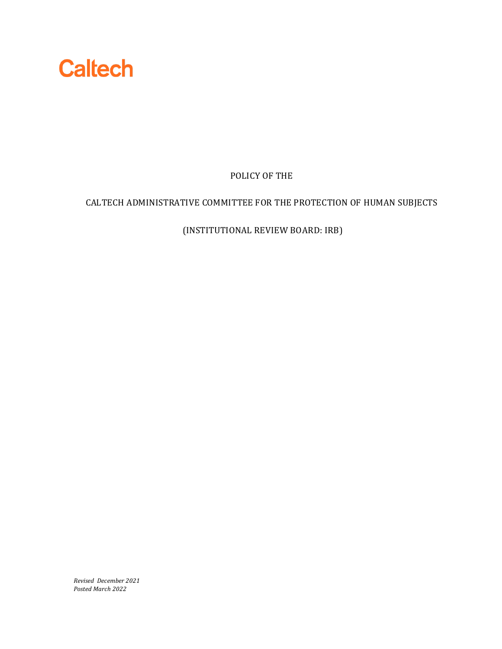

POLICY OF THE

# CALTECH ADMINISTRATIVE COMMITTEE FOR THE PROTECTION OF HUMAN SUBJECTS

(INSTITUTIONAL REVIEW BOARD: IRB)

*Revised December 2021 Posted March 2022*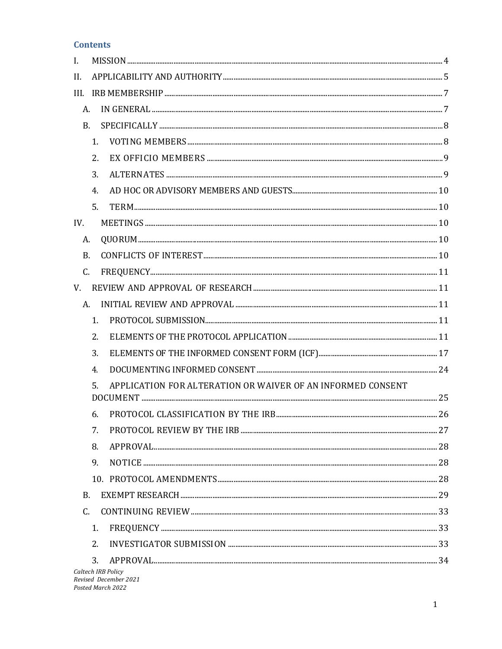### **Contents**

| I.              |                  |                                                             |  |
|-----------------|------------------|-------------------------------------------------------------|--|
| II.             |                  |                                                             |  |
| III.            |                  |                                                             |  |
| A.              |                  |                                                             |  |
| <b>B.</b>       |                  |                                                             |  |
|                 | $\mathbf{1}$ .   |                                                             |  |
|                 | 2.               |                                                             |  |
|                 | 3.               |                                                             |  |
|                 | 4.               |                                                             |  |
|                 | 5.               |                                                             |  |
| IV.             |                  |                                                             |  |
| A.              |                  |                                                             |  |
| <b>B.</b>       |                  |                                                             |  |
| C.              |                  |                                                             |  |
| V.              |                  |                                                             |  |
| А.              |                  |                                                             |  |
|                 | 1.               |                                                             |  |
|                 | 2.               |                                                             |  |
|                 | 3.               |                                                             |  |
|                 | $\overline{4}$ . |                                                             |  |
|                 | 5.               | APPLICATION FOR ALTERATION OR WAIVER OF AN INFORMED CONSENT |  |
|                 |                  |                                                             |  |
|                 | 6.               |                                                             |  |
|                 | 7.               |                                                             |  |
|                 | 8.               |                                                             |  |
|                 | 9.               | $\verb NOTICE   \qquad \qquad \verb 28 $                    |  |
|                 |                  |                                                             |  |
| B.              |                  |                                                             |  |
| $\mathcal{C}$ . |                  |                                                             |  |
|                 | 1.               |                                                             |  |
|                 | 2.               |                                                             |  |
|                 | 3.               |                                                             |  |
|                 |                  | Caltech IRB Policy<br>Revised December 2021                 |  |

Posted March 2022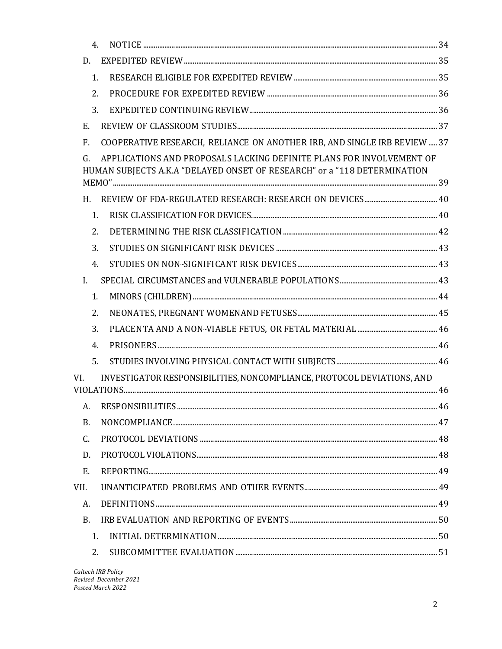| $\overline{4}$ . |                                                                                                                                                  |  |
|------------------|--------------------------------------------------------------------------------------------------------------------------------------------------|--|
| D.               |                                                                                                                                                  |  |
| 1.               |                                                                                                                                                  |  |
| 2.               |                                                                                                                                                  |  |
| 3.               |                                                                                                                                                  |  |
| E.               |                                                                                                                                                  |  |
| F.               | COOPERATIVE RESEARCH, RELIANCE ON ANOTHER IRB, AND SINGLE IRB REVIEW  37                                                                         |  |
| G.               | APPLICATIONS AND PROPOSALS LACKING DEFINITE PLANS FOR INVOLVEMENT OF<br>HUMAN SUBJECTS A.K.A "DELAYED ONSET OF RESEARCH" or a "118 DETERMINATION |  |
| H.               |                                                                                                                                                  |  |
| 1.               |                                                                                                                                                  |  |
| 2.               |                                                                                                                                                  |  |
| 3.               |                                                                                                                                                  |  |
| 4.               |                                                                                                                                                  |  |
| $\mathbf{I}$ .   |                                                                                                                                                  |  |
| 1.               |                                                                                                                                                  |  |
| 2.               |                                                                                                                                                  |  |
| 3.               |                                                                                                                                                  |  |
| 4.               |                                                                                                                                                  |  |
| 5.               |                                                                                                                                                  |  |
| VI.              | INVESTIGATOR RESPONSIBILITIES, NONCOMPLIANCE, PROTOCOL DEVIATIONS, AND                                                                           |  |
|                  |                                                                                                                                                  |  |
|                  | A. RESPONSIBILITIES                                                                                                                              |  |
| В.               |                                                                                                                                                  |  |
| C.               |                                                                                                                                                  |  |
| D.               |                                                                                                                                                  |  |
| Ε.               |                                                                                                                                                  |  |
| VII.             |                                                                                                                                                  |  |
| А.               |                                                                                                                                                  |  |
| B <sub>r</sub>   |                                                                                                                                                  |  |
| 1.               |                                                                                                                                                  |  |
| 2.               |                                                                                                                                                  |  |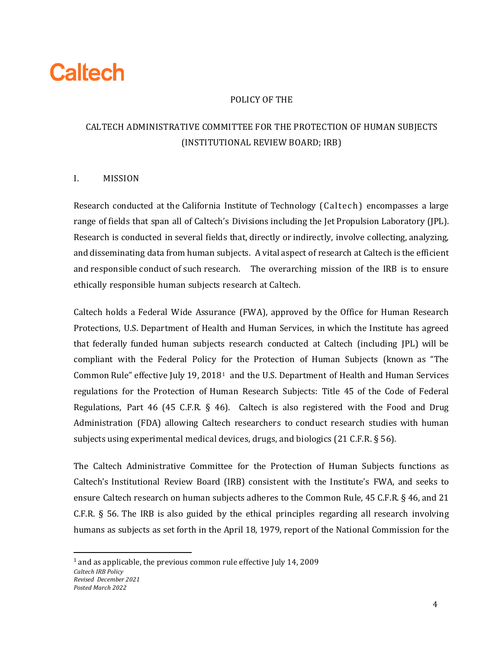# **Caltech**

# POLICY OF THE

# CALTECH ADMINISTRATIVE COMMITTEE FOR THE PROTECTION OF HUMAN SUBJECTS (INSTITUTIONAL REVIEW BOARD; IRB)

# <span id="page-4-0"></span>I. MISSION

Research conducted at the California Institute of Technology (Caltech) encompasses a large range of fields that span all of Caltech's Divisions including the Jet Propulsion Laboratory (JPL). Research is conducted in several fields that, directly or indirectly, involve collecting, analyzing, and disseminating data from human subjects. A vital aspect of research at Caltech is the efficient and responsible conduct of such research. The overarching mission of the IRB is to ensure ethically responsible human subjects research at Caltech.

Caltech holds a Federal Wide Assurance (FWA), approved by the Office for Human Research Protections, U.S. Department of Health and Human Services, in which the Institute has agreed that federally funded human subjects research conducted at Caltech (including JPL) will be compliant with the Federal Policy for the Protection of Human Subjects (known as "The Common Rule" effective July [1](#page-4-1)9, 2018<sup>1</sup> and the U.S. Department of Health and Human Services regulations for the Protection of Human Research Subjects: Title 45 of the Code of Federal Regulations, Part 46 (45 C.F.R.  $\S$  46). Caltech is also registered with the Food and Drug Administration (FDA) allowing Caltech researchers to conduct research studies with human subjects using experimental medical devices, drugs, and biologics (21 C.F.R. § 56).

The Caltech Administrative Committee for the Protection of Human Subjects functions as Caltech's Institutional Review Board (IRB) consistent with the Institute's FWA, and seeks to ensure Caltech research on human subjects adheres to the Common Rule, 45 C.F.R. § 46, and 21 C.F.R. § 56. The IRB is also guided by the ethical principles regarding all research involving humans as subjects as set forth in the April 18, 1979, report of the National Commission for the

<span id="page-4-1"></span>*Caltech IRB Policy Revised December 2021 Posted March 2022* <sup>1</sup> and as applicable, the previous common rule effective July 14, 2009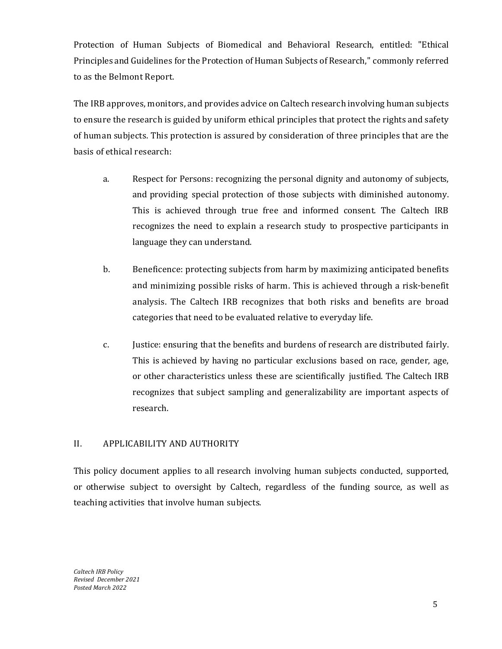Protection of Human Subjects of Biomedical and Behavioral Research, entitled: "Ethical Principles and Guidelines for the Protection of Human Subjects of Research," commonly referred to as the Belmont Report.

The IRB approves, monitors, and provides advice on Caltech research involving human subjects to ensure the research is guided by uniform ethical principles that protect the rights and safety of human subjects. This protection is assured by consideration of three principles that are the basis of ethical research:

- a. Respect for Persons: recognizing the personal dignity and autonomy of subjects, and providing special protection of those subjects with diminished autonomy. This is achieved through true free and informed consent. The Caltech IRB recognizes the need to explain a research study to prospective participants in language they can understand.
- b. Beneficence: protecting subjects from harm by maximizing anticipated benefits and minimizing possible risks of harm. This is achieved through a risk-benefit analysis. The Caltech IRB recognizes that both risks and benefits are broad categories that need to be evaluated relative to everyday life.
- c. Justice: ensuring that the benefits and burdens of research are distributed fairly. This is achieved by having no particular exclusions based on race, gender, age, or other characteristics unless these are scientifically justified. The Caltech IRB recognizes that subject sampling and generalizability are important aspects of research.

### <span id="page-5-0"></span>II. APPLICABILITY AND AUTHORITY

This policy document applies to all research involving human subjects conducted, supported, or otherwise subject to oversight by Caltech, regardless of the funding source, as well as teaching activities that involve human subjects.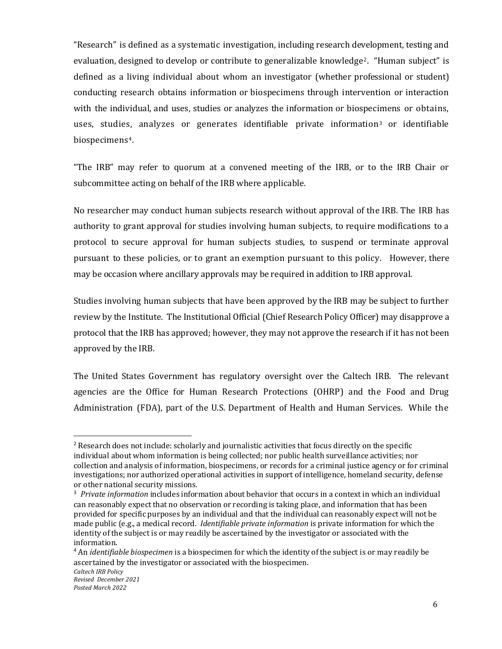"Research" is defined as a systematic investigation, including research development, testing and evaluation, designed to develop or contribute to generalizable knowledge[2.](#page-6-0) "Human subject" is defined as a living individual about whom an investigator (whether professional or student) conducting research obtains information or biospecimens through intervention or interaction with the individual, and uses, studies or analyzes the information or biospecimens or obtains, uses, studies, analyzes or generates identifiable private information<sup>[3](#page-6-1)</sup> or identifiable biospecimens[4](#page-6-2).

"The IRB" may refer to quorum at a convened meeting of the IRB, or to the IRB Chair or subcommittee acting on behalf of the IRB where applicable.

No researcher may conduct human subjects research without approval of the IRB. The IRB has authority to grant approval for studies involving human subjects, to require modifications to a protocol to secure approval for human subjects studies, to suspend or terminate approval pursuant to these policies, or to grant an exemption pursuant to this policy. However, there may be occasion where ancillary approvals may be required in addition to IRB approval.

Studies involving human subjects that have been approved by the IRB may be subject to further review by the Institute. The Institutional Official (Chief Research Policy Officer) may disapprove a protocol that the IRB has approved; however, they may not approve the research if it has not been approved by the IRB.

The United States Government has regulatory oversight over the Caltech IRB. The relevant agencies are the Office for Human Research Protections (OHRP) and the Food and Drug Administration (FDA), part of the U.S. Department of Health and Human Services. While the

<span id="page-6-0"></span><sup>&</sup>lt;sup>2</sup> Research does not include: scholarly and journalistic activities that focus directly on the specific individual about whom information is being collected; nor public health surveillance activities; nor collection and analysis of information, biospecimens, or records for a criminal justice agency or for criminal investigations; nor authorized operational activities in support of intelligence, homeland security, defense or other national security missions.

<span id="page-6-1"></span><sup>3</sup> *Private information* includes information about behavior that occurs in a context in which an individual can reasonably expect that no observation or recording is taking place, and information that has been provided for specific purposes by an individual and that the individual can reasonably expect will not be made public (e.g., a medical record. *Identifiable private information* is private information for which the identity of the subject is or may readily be ascertained by the investigator or associated with the information.

<span id="page-6-2"></span><sup>4</sup> An *identifiable biospecimen* is a biospecimen for which the identity of the subject is or may readily be ascertained by the investigator or associated with the biospecimen.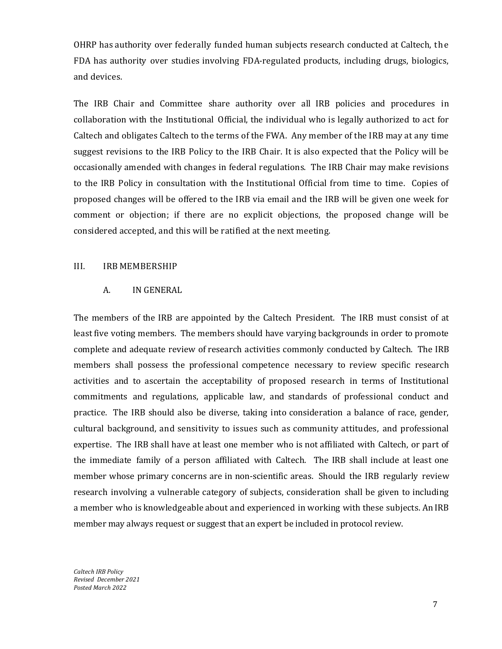OHRP has authority over federally funded human subjects research conducted at Caltech, the FDA has authority over studies involving FDA-regulated products, including drugs, biologics, and devices.

The IRB Chair and Committee share authority over all IRB policies and procedures in collaboration with the Institutional Official, the individual who is legally authorized to act for Caltech and obligates Caltech to the terms of the FWA. Any member of the IRB may at any time suggest revisions to the IRB Policy to the IRB Chair. It is also expected that the Policy will be occasionally amended with changes in federal regulations. The IRB Chair may make revisions to the IRB Policy in consultation with the Institutional Official from time to time. Copies of proposed changes will be offered to the IRB via email and the IRB will be given one week for comment or objection; if there are no explicit objections, the proposed change will be considered accepted, and this will be ratified at the next meeting.

### <span id="page-7-1"></span><span id="page-7-0"></span>III. IRB MEMBERSHIP

#### A. IN GENERAL

The members of the IRB are appointed by the Caltech President. The IRB must consist of at least five voting members. The members should have varying backgrounds in order to promote complete and adequate review of research activities commonly conducted by Caltech. The IRB members shall possess the professional competence necessary to review specific research activities and to ascertain the acceptability of proposed research in terms of Institutional commitments and regulations, applicable law, and standards of professional conduct and practice. The IRB should also be diverse, taking into consideration a balance of race, gender, cultural background, and sensitivity to issues such as community attitudes, and professional expertise. The IRB shall have at least one member who is not affiliated with Caltech, or part of the immediate family of a person affiliated with Caltech. The IRB shall include at least one member whose primary concerns are in non-scientific areas. Should the IRB regularly review research involving a vulnerable category of subjects, consideration shall be given to including a member who is knowledgeable about and experienced in working with these subjects. An IRB member may always request or suggest that an expert be included in protocol review.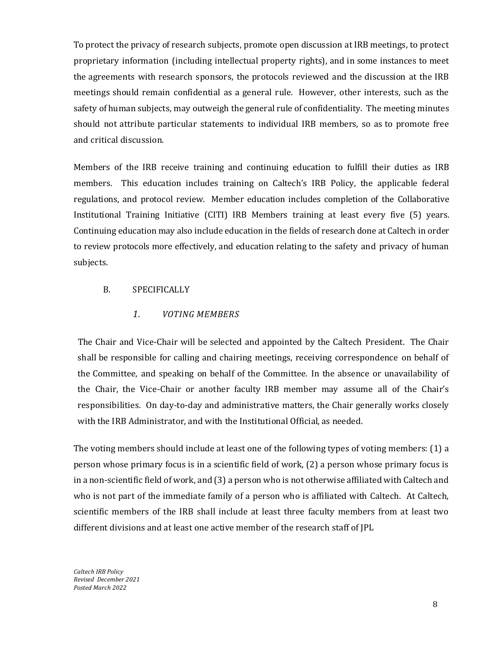To protect the privacy of research subjects, promote open discussion at IRB meetings, to protect proprietary information (including intellectual property rights), and in some instances to meet the agreements with research sponsors, the protocols reviewed and the discussion at the IRB meetings should remain confidential as a general rule. However, other interests, such as the safety of human subjects, may outweigh the general rule of confidentiality. The meeting minutes should not attribute particular statements to individual IRB members, so as to promote free and critical discussion.

Members of the IRB receive training and continuing education to fulfill their duties as IRB members. This education includes training on Caltech's IRB Policy, the applicable federal regulations, and protocol review. Member education includes completion of the Collaborative Institutional Training Initiative (CITI) IRB Members training at least every five (5) years. Continuing education may also include education in the fields of research done at Caltech in order to review protocols more effectively, and education relating to the safety and privacy of human subjects.

### <span id="page-8-1"></span><span id="page-8-0"></span>B. SPECIFICALLY

### *1. VOTING MEMBERS*

The Chair and Vice-Chair will be selected and appointed by the Caltech President. The Chair shall be responsible for calling and chairing meetings, receiving correspondence on behalf of the Committee, and speaking on behalf of the Committee. In the absence or unavailability of the Chair, the Vice-Chair or another faculty IRB member may assume all of the Chair's responsibilities. On day-to-day and administrative matters, the Chair generally works closely with the IRB Administrator, and with the Institutional Official, as needed.

The voting members should include at least one of the following types of voting members: (1) a person whose primary focus is in a scientific field of work, (2) a person whose primary focus is in a non-scientific field of work, and (3) a person who is not otherwise affiliated with Caltech and who is not part of the immediate family of a person who is affiliated with Caltech. At Caltech, scientific members of the IRB shall include at least three faculty members from at least two different divisions and at least one active member of the research staff of JPL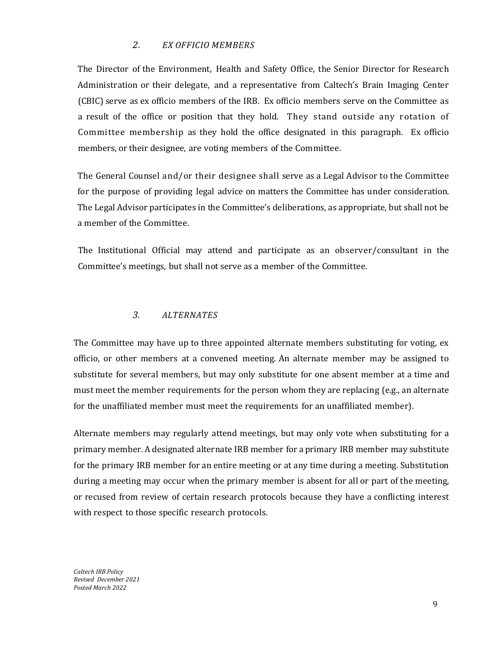# *2. EX OFFICIO MEMBERS*

<span id="page-9-0"></span>The Director of the Environment, Health and Safety Office, the Senior Director for Research Administration or their delegate, and a representative from Caltech's Brain Imaging Center (CBIC) serve as ex officio members of the IRB. Ex officio members serve on the Committee as a result of the office or position that they hold. They stand outside any rotation of Committee membership as they hold the office designated in this paragraph. Ex officio members, or their designee, are voting members of the Committee.

The General Counsel and/or their designee shall serve as a Legal Advisor to the Committee for the purpose of providing legal advice on matters the Committee has under consideration. The Legal Advisor participates in the Committee's deliberations, as appropriate, but shall not be a member of the Committee.

The Institutional Official may attend and participate as an observer/consultant in the Committee's meetings, but shall not serve as a member of the Committee.

### *3. ALTERNATES*

<span id="page-9-1"></span>The Committee may have up to three appointed alternate members substituting for voting, ex officio, or other members at a convened meeting. An alternate member may be assigned to substitute for several members, but may only substitute for one absent member at a time and must meet the member requirements for the person whom they are replacing (e.g., an alternate for the unaffiliated member must meet the requirements for an unaffiliated member).

Alternate members may regularly attend meetings, but may only vote when substituting for a primary member. A designated alternate IRB member for a primary IRB member may substitute for the primary IRB member for an entire meeting or at any time during a meeting. Substitution during a meeting may occur when the primary member is absent for all or part of the meeting, or recused from review of certain research protocols because they have a conflicting interest with respect to those specific research protocols.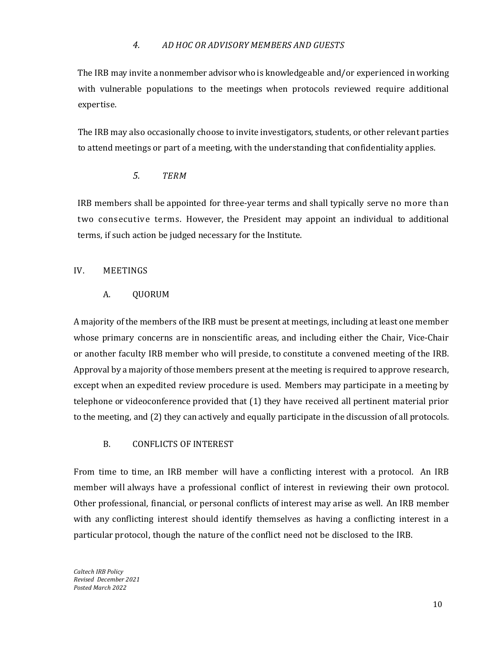### *4. AD HOC OR ADVISORY MEMBERS AND GUESTS*

<span id="page-10-0"></span>The IRB may invite a nonmember advisor who is knowledgeable and/or experienced in working with vulnerable populations to the meetings when protocols reviewed require additional expertise.

The IRB may also occasionally choose to invite investigators, students, or other relevant parties to attend meetings or part of a meeting, with the understanding that confidentiality applies.

# *5. TERM*

<span id="page-10-1"></span>IRB members shall be appointed for three-year terms and shall typically serve no more than two consecutive terms. However, the President may appoint an individual to additional terms, if such action be judged necessary for the Institute.

### <span id="page-10-3"></span><span id="page-10-2"></span>IV. MEETINGS

### A. QUORUM

A majority of the members of the IRB must be present at meetings, including at least one member whose primary concerns are in nonscientific areas, and including either the Chair, Vice-Chair or another faculty IRB member who will preside, to constitute a convened meeting of the IRB. Approval by a majority ofthose members present at the meeting is required to approve research, except when an expedited review procedure is used. Members may participate in a meeting by telephone or videoconference provided that (1) they have received all pertinent material prior to the meeting, and (2) they can actively and equally participate in the discussion of all protocols.

### B. CONFLICTS OF INTEREST

<span id="page-10-4"></span>From time to time, an IRB member will have a conflicting interest with a protocol. An IRB member will always have a professional conflict of interest in reviewing their own protocol. Other professional, financial, or personal conflicts of interest may arise as well. An IRB member with any conflicting interest should identify themselves as having a conflicting interest in a particular protocol, though the nature of the conflict need not be disclosed to the IRB.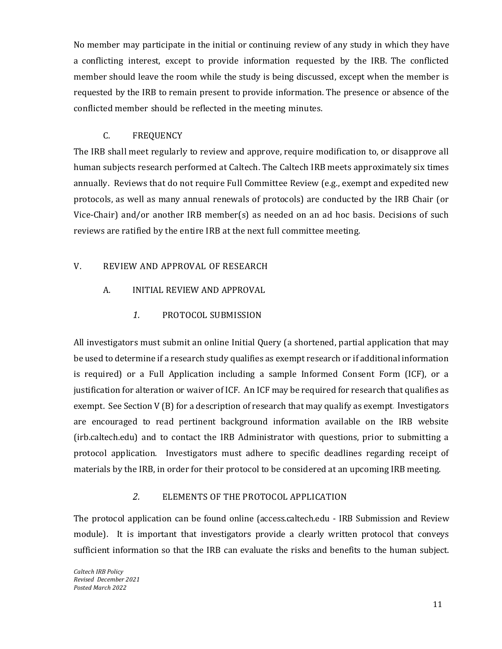No member may participate in the initial or continuing review of any study in which they have a conflicting interest, except to provide information requested by the IRB. The conflicted member should leave the room while the study is being discussed, except when the member is requested by the IRB to remain present to provide information. The presence or absence of the conflicted member should be reflected in the meeting minutes.

### C. FREQUENCY

<span id="page-11-0"></span>The IRB shall meet regularly to review and approve, require modification to, or disapprove all human subjects research performed at Caltech. The Caltech IRB meets approximately six times annually. Reviews that do not require Full Committee Review (e.g., exempt and expedited new protocols, as well as many annual renewals of protocols) are conducted by the IRB Chair (or Vice-Chair) and/or another IRB member(s) as needed on an ad hoc basis. Decisions of such reviews are ratified by the entire IRB at the next full committee meeting.

### <span id="page-11-2"></span><span id="page-11-1"></span>V. REVIEW AND APPROVAL OF RESEARCH

- <span id="page-11-3"></span>A. INITIAL REVIEW AND APPROVAL
	- *1.* PROTOCOL SUBMISSION

All investigators must submit an online Initial Query (a shortened, partial application that may be used to determine if a research study qualifies as exempt research or if additional information is required) or a Full Application including a sample Informed Consent Form (ICF), or a justification for alteration or waiver of ICF. An ICF may be required for research that qualifies as exempt. See Section V (B) for a description of research that may qualify as exempt. Investigators are encouraged to read pertinent background information available on the IRB website (irb.caltech.edu) and to contact the IRB Administrator with questions, prior to submitting a protocol application. Investigators must adhere to specific deadlines regarding receipt of materials by the IRB, in order for their protocol to be considered at an upcoming IRB meeting.

### *2.* ELEMENTS OF THE PROTOCOL APPLICATION

<span id="page-11-4"></span>The protocol application can be found online (access.caltech.edu - IRB Submission and Review module). It is important that investigators provide a clearly written protocol that conveys sufficient information so that the IRB can evaluate the risks and benefits to the human subject.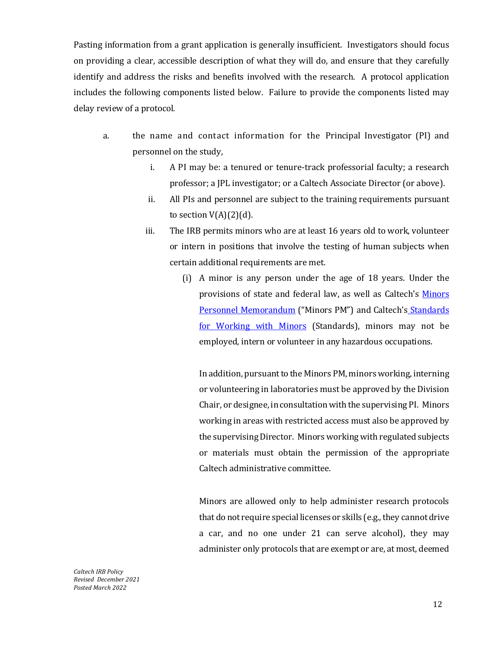Pasting information from a grant application is generally insufficient. Investigators should focus on providing a clear, accessible description of what they will do, and ensure that they carefully identify and address the risks and benefits involved with the research. A protocol application includes the following components listed below. Failure to provide the components listed may delay review of a protocol.

- a. the name and contact information for the Principal Investigator (PI) and personnel on the study,
	- i. A PI may be: a tenured or tenure-track professorial faculty; a research professor; a JPL investigator; or a Caltech Associate Director (or above).
	- ii. All PIs and personnel are subject to the training requirements pursuant to section  $V(A)(2)(d)$ .
	- iii. The IRB permits minors who are at least 16 years old to work, volunteer or intern in positions that involve the testing of human subjects when certain additional requirements are met.
		- (i) A minor is any person under the age of 18 years. Under the provisions of state and federal law, as well as Caltech's [Minors](http://hr.caltech.edu/documents/8-pm09-1.pdf)  [Personnel Memorandum](http://hr.caltech.edu/documents/8-pm09-1.pdf) ("Minors PM") and Caltech's Standards [for Working with Minors](https://ctlo.caltech.edu/documents/3773/standards_for_interacting_with_minors.pdf) (Standards), minors may not be employed, intern or volunteer in any hazardous occupations.

In addition, pursuant to the Minors PM, minors working, interning or volunteering in laboratories must be approved by the Division Chair, or designee, in consultation with the supervising PI. Minors working in areas with restricted access must also be approved by the supervising Director. Minors working with regulated subjects or materials must obtain the permission of the appropriate Caltech administrative committee.

Minors are allowed only to help administer research protocols that do not require special licenses or skills (e.g., they cannot drive a car, and no one under 21 can serve alcohol), they may administer only protocols that are exempt or are, at most, deemed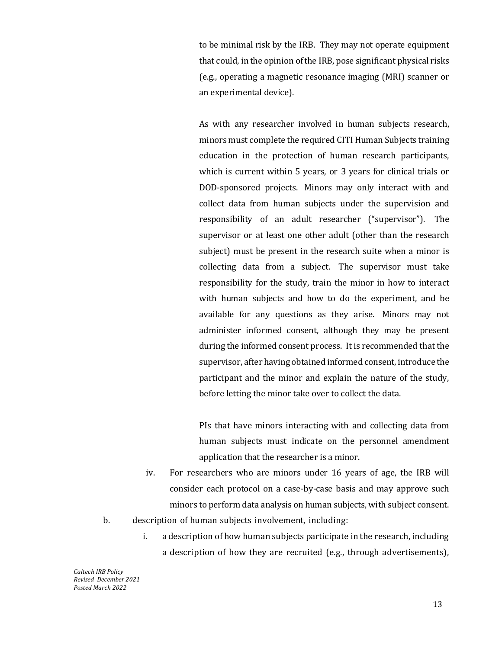to be minimal risk by the IRB. They may not operate equipment that could, in the opinion of the IRB, pose significant physical risks (e.g., operating a magnetic resonance imaging (MRI) scanner or an experimental device).

As with any researcher involved in human subjects research, minors must complete the required CITI Human Subjects training education in the protection of human research participants, which is current within 5 years, or 3 years for clinical trials or DOD-sponsored projects. Minors may only interact with and collect data from human subjects under the supervision and responsibility of an adult researcher ("supervisor"). The supervisor or at least one other adult (other than the research subject) must be present in the research suite when a minor is collecting data from a subject. The supervisor must take responsibility for the study, train the minor in how to interact with human subjects and how to do the experiment, and be available for any questions as they arise. Minors may not administer informed consent, although they may be present during the informed consent process. It is recommended that the supervisor, after having obtained informed consent, introduce the participant and the minor and explain the nature of the study, before letting the minor take over to collect the data.

PIs that have minors interacting with and collecting data from human subjects must indicate on the personnel amendment application that the researcher is a minor.

- iv. For researchers who are minors under 16 years of age, the IRB will consider each protocol on a case-by-case basis and may approve such minors to perform data analysis on human subjects, with subject consent.
- b. description of human subjects involvement, including:
	- i. a description of how human subjects participate in the research, including a description of how they are recruited (e.g., through advertisements),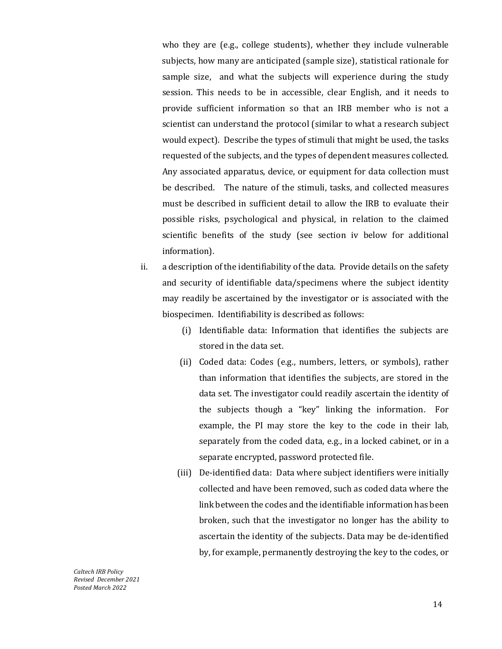who they are (e.g., college students), whether they include vulnerable subjects, how many are anticipated (sample size), statistical rationale for sample size, and what the subjects will experience during the study session. This needs to be in accessible, clear English, and it needs to provide sufficient information so that an IRB member who is not a scientist can understand the protocol (similar to what a research subject would expect). Describe the types of stimuli that might be used, the tasks requested of the subjects, and the types of dependent measures collected. Any associated apparatus, device, or equipment for data collection must be described. The nature of the stimuli, tasks, and collected measures must be described in sufficient detail to allow the IRB to evaluate their possible risks, psychological and physical, in relation to the claimed scientific benefits of the study (see section iv below for additional information).

- ii. a description of the identifiability of the data. Provide details on the safety and security of identifiable data/specimens where the subject identity may readily be ascertained by the investigator or is associated with the biospecimen. Identifiability is described as follows:
	- (i) Identifiable data: Information that identifies the subjects are stored in the data set.
	- (ii) Coded data: Codes (e.g., numbers, letters, or symbols), rather than information that identifies the subjects, are stored in the data set. The investigator could readily ascertain the identity of the subjects though a "key" linking the information. For example, the PI may store the key to the code in their lab, separately from the coded data, e.g., in a locked cabinet, or in a separate encrypted, password protected file.
	- (iii) De-identified data: Data where subject identifiers were initially collected and have been removed, such as coded data where the link between the codes and the identifiable information has been broken, such that the investigator no longer has the ability to ascertain the identity of the subjects. Data may be de-identified by, for example, permanently destroying the key to the codes, or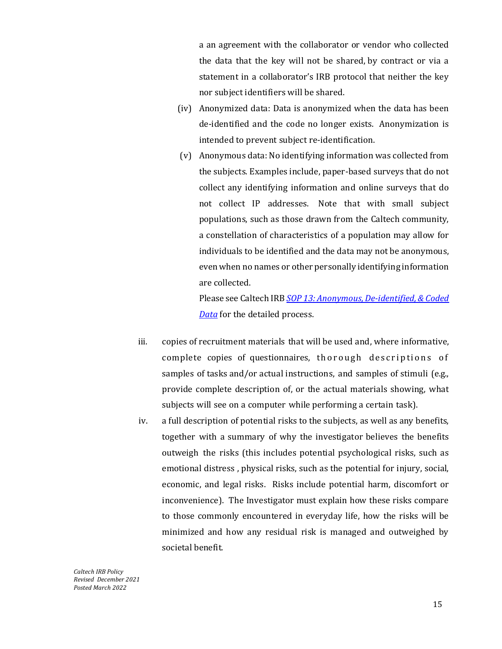a an agreement with the collaborator or vendor who collected the data that the key will not be shared, by contract or via a statement in a collaborator's IRB protocol that neither the key nor subject identifiers will be shared.

- (iv) Anonymized data: Data is anonymized when the data has been de-identified and the code no longer exists. Anonymization is intended to prevent subject re-identification.
- (v) Anonymous data: No identifying information was collected from the subjects. Examples include, paper-based surveys that do not collect any identifying information and online surveys that do not collect IP addresses. Note that with small subject populations, such as those drawn from the Caltech community, a constellation of characteristics of a population may allow for individuals to be identified and the data may not be anonymous, even when no names or other personally identifying information are collected.

Please see Caltech IRB *[SOP 13: Anonymous, De-identified, & Coded](https://researchcompliance.caltech.edu/documents/20276/IRB_SOP_13_Anonymous_De-identified_and_Coded_Data_FINAL.pdf)  [Data](https://researchcompliance.caltech.edu/documents/20276/IRB_SOP_13_Anonymous_De-identified_and_Coded_Data_FINAL.pdf)* for the detailed process.

- iii. copies of recruitment materials that will be used and, where informative, complete copies of questionnaires, thorough descriptions of samples of tasks and/or actual instructions, and samples of stimuli (e.g., provide complete description of, or the actual materials showing, what subjects will see on a computer while performing a certain task).
- iv. a full description of potential risks to the subjects, as well as any benefits, together with a summary of why the investigator believes the benefits outweigh the risks (this includes potential psychological risks, such as emotional distress , physical risks, such as the potential for injury, social, economic, and legal risks. Risks include potential harm, discomfort or inconvenience). The Investigator must explain how these risks compare to those commonly encountered in everyday life, how the risks will be minimized and how any residual risk is managed and outweighed by societal benefit.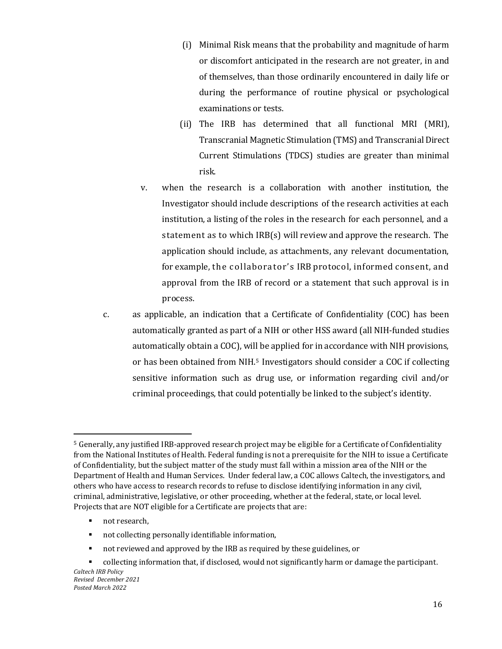- (i) Minimal Risk means that the probability and magnitude of harm or discomfort anticipated in the research are not greater, in and of themselves, than those ordinarily encountered in daily life or during the performance of routine physical or psychological examinations or tests.
- (ii) The IRB has determined that all functional MRI (MRI), Transcranial Magnetic Stimulation (TMS) and Transcranial Direct Current Stimulations (TDCS) studies are greater than minimal risk.
- v. when the research is a collaboration with another institution, the Investigator should include descriptions of the research activities at each institution, a listing of the roles in the research for each personnel, and a statement as to which IRB(s) will review and approve the research. The application should include, as attachments, any relevant documentation, for example, the collaborator's IRB protocol, informed consent, and approval from the IRB of record or a statement that such approval is in process.
- c. as applicable, an indication that a Certificate of Confidentiality (COC) has been automatically granted as part of a NIH or other HSS award (all NIH-funded studies automatically obtain a COC), will be applied for in accordance with NIH provisions, or has been obtained from NIH[.5](#page-16-0) Investigators should consider a COC if collecting sensitive information such as drug use, or information regarding civil and/or criminal proceedings, that could potentially be linked to the subject's identity.

not research,

 $\overline{\phantom{a}}$ 

- not collecting personally identifiable information,
- not reviewed and approved by the IRB as required by these guidelines, or
- *Caltech IRB Policy Revised December 2021 Posted March 2022* **Collecting information that, if disclosed, would not significantly harm or damage the participant.**

<span id="page-16-0"></span><sup>5</sup> Generally, any justified IRB-approved research project may be eligible for a Certificate of Confidentiality from the National Institutes of Health. Federal funding is not a prerequisite for the NIH to issue a Certificate of Confidentiality, but the subject matter of the study must fall within a mission area of the NIH or the Department of Health and Human Services. Under federal law, a COC allows Caltech, the investigators, and others who have access to research records to refuse to disclose identifying information in any civil, criminal, administrative, legislative, or other proceeding, whether at the federal, state, or local level. Projects that are NOT eligible for a Certificate are projects that are: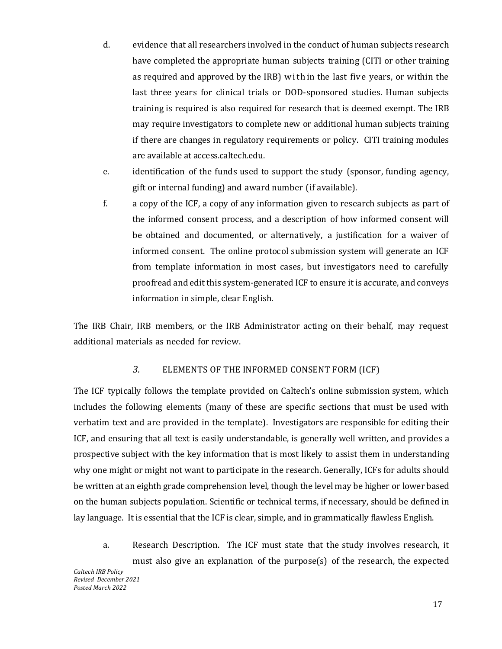- d. evidence that all researchers involved in the conduct of human subjects research have completed the appropriate human subjects training (CITI or other training as required and approved by the IRB) within the last five years, or within the last three years for clinical trials or DOD-sponsored studies. Human subjects training is required is also required for research that is deemed exempt. The IRB may require investigators to complete new or additional human subjects training if there are changes in regulatory requirements or policy. CITI training modules are available at access.caltech.edu.
- e. identification of the funds used to support the study (sponsor, funding agency, gift or internal funding) and award number (if available).
- f. a copy of the ICF, a copy of any information given to research subjects as part of the informed consent process, and a description of how informed consent will be obtained and documented, or alternatively, a justification for a waiver of informed consent. The online protocol submission system will generate an ICF from template information in most cases, but investigators need to carefully proofread and edit this system-generated ICF to ensure it is accurate, and conveys information in simple, clear English.

The IRB Chair, IRB members, or the IRB Administrator acting on their behalf, may request additional materials as needed for review.

### *3.* ELEMENTS OF THE INFORMED CONSENT FORM (ICF)

<span id="page-17-0"></span>The ICF typically follows the template provided on Caltech's online submission system, which includes the following elements (many of these are specific sections that must be used with verbatim text and are provided in the template). Investigators are responsible for editing their ICF, and ensuring that all text is easily understandable, is generally well written, and provides a prospective subject with the key information that is most likely to assist them in understanding why one might or might not want to participate in the research. Generally, ICFs for adults should be written at an eighth grade comprehension level, though the level may be higher or lower based on the human subjects population. Scientific or technical terms, if necessary, should be defined in lay language. It is essential that the ICF is clear, simple, and in grammatically flawless English.

*Caltech IRB Policy Revised December 2021 Posted March 2022* a. Research Description. The ICF must state that the study involves research, it must also give an explanation of the purpose(s) of the research, the expected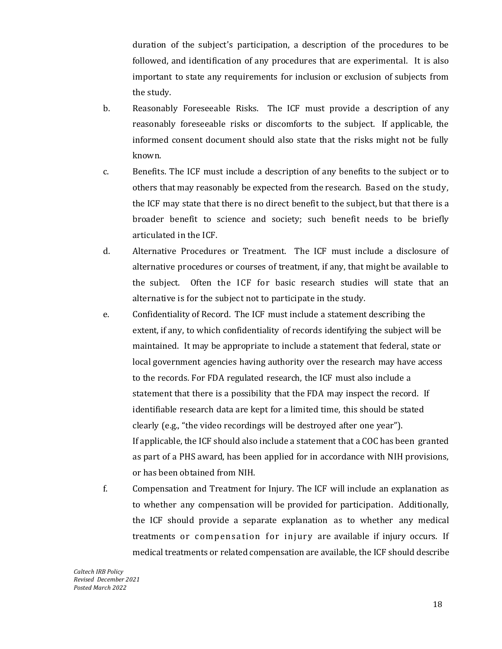duration of the subject's participation, a description of the procedures to be followed, and identification of any procedures that are experimental. It is also important to state any requirements for inclusion or exclusion of subjects from the study.

- b. Reasonably Foreseeable Risks. The ICF must provide a description of any reasonably foreseeable risks or discomforts to the subject. If applicable, the informed consent document should also state that the risks might not be fully known.
- c. Benefits. The ICF must include a description of any benefits to the subject or to others that may reasonably be expected from the research. Based on the study, the ICF may state that there is no direct benefit to the subject, but that there is a broader benefit to science and society; such benefit needs to be briefly articulated in the ICF.
- d. Alternative Procedures or Treatment. The ICF must include a disclosure of alternative procedures or courses of treatment, if any, that might be available to the subject. Often the ICF for basic research studies will state that an alternative is for the subject not to participate in the study.
- e. Confidentiality of Record. The ICF must include a statement describing the extent, if any, to which confidentiality of records identifying the subject will be maintained. It may be appropriate to include a statement that federal, state or local government agencies having authority over the research may have access to the records. For FDA regulated research, the ICF must also include a statement that there is a possibility that the FDA may inspect the record. If identifiable research data are kept for a limited time, this should be stated clearly (e.g., "the video recordings will be destroyed after one year"). If applicable, the ICF should also include a statement that a COC has been granted as part of a PHS award, has been applied for in accordance with NIH provisions, or has been obtained from NIH.
- f. Compensation and Treatment for Injury. The ICF will include an explanation as to whether any compensation will be provided for participation. Additionally, the ICF should provide a separate explanation as to whether any medical treatments or compensation for injury are available if injury occurs. If medical treatments or related compensation are available, the ICF should describe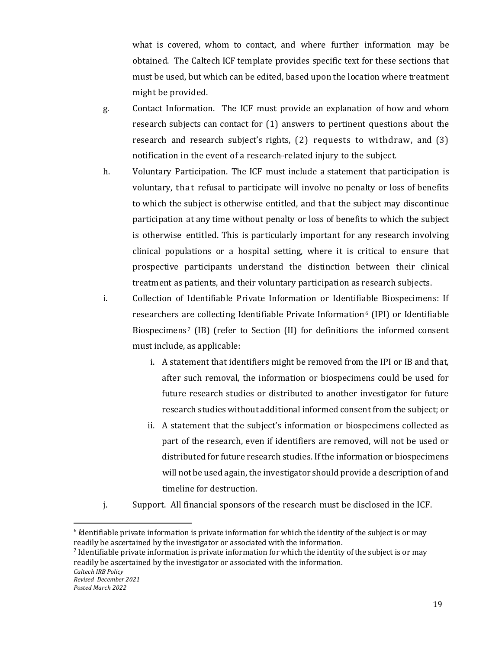what is covered, whom to contact, and where further information may be obtained. The Caltech ICF template provides specific text for these sections that must be used, but which can be edited, based upon the location where treatment might be provided.

- g. Contact Information. The ICF must provide an explanation of how and whom research subjects can contact for (1) answers to pertinent questions about the research and research subject's rights, (2) requests to withdraw, and (3) notification in the event of a research-related injury to the subject.
- h. Voluntary Participation. The ICF must include a statement that participation is voluntary, that refusal to participate will involve no penalty or loss of benefits to which the subject is otherwise entitled, and that the subject may discontinue participation at any time without penalty or loss of benefits to which the subject is otherwise entitled. This is particularly important for any research involving clinical populations or a hospital setting, where it is critical to ensure that prospective participants understand the distinction between their clinical treatment as patients, and their voluntary participation as research subjects.
- i. Collection of Identifiable Private Information or Identifiable Biospecimens: If researchers are collecting Identifiable Private Information<sup>[6](#page-19-0)</sup> (IPI) or Identifiable Biospecimens<sup>[7](#page-19-1)</sup> (IB) (refer to Section (II) for definitions the informed consent must include, as applicable:
	- i. A statement that identifiers might be removed from the IPI or IB and that, after such removal, the information or biospecimens could be used for future research studies or distributed to another investigator for future research studies without additional informed consent from the subject; or
	- ii. A statement that the subject's information or biospecimens collected as part of the research, even if identifiers are removed, will not be used or distributed for future research studies. If the information or biospecimens will not be used again, the investigator should provide a description of and timeline for destruction.
- j. Support. All financial sponsors of the research must be disclosed in the ICF.

<span id="page-19-0"></span><sup>&</sup>lt;sup>6</sup> *I*dentifiable private information is private information for which the identity of the subject is or may readily be ascertained by the investigator or associated with the information.

<span id="page-19-1"></span> $<sup>7</sup>$  Identifiable private information is private information for which the identity of the subject is or may</sup> readily be ascertained by the investigator or associated with the information.

*Caltech IRB Policy*

*Revised December 2021*

*Posted March 2022*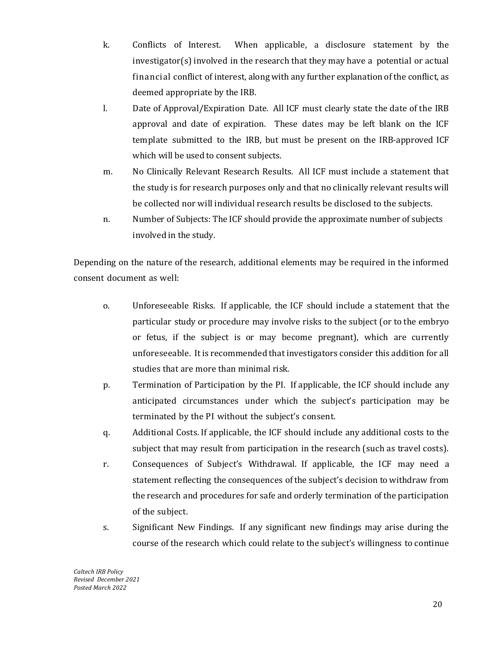- k. Conflicts of Interest. When applicable, a disclosure statement by the investigator(s) involved in the research that they may have a potential or actual financial conflict of interest, along with any further explanation of the conflict, as deemed appropriate by the IRB.
- l. Date of Approval/Expiration Date. All ICF must clearly state the date of the IRB approval and date of expiration. These dates may be left blank on the ICF template submitted to the IRB, but must be present on the IRB-approved ICF which will be used to consent subjects.
- m. No Clinically Relevant Research Results. All ICF must include a statement that the study is for research purposes only and that no clinically relevant results will be collected nor will individual research results be disclosed to the subjects.
- n. Number of Subjects: The ICF should provide the approximate number of subjects involved in the study.

Depending on the nature of the research, additional elements may be required in the informed consent document as well:

- o. Unforeseeable Risks. If applicable, the ICF should include a statement that the particular study or procedure may involve risks to the subject (or to the embryo or fetus, if the subject is or may become pregnant), which are currently unforeseeable. It is recommended that investigators consider this addition for all studies that are more than minimal risk.
- p. Termination of Participation by the PI. If applicable, the ICF should include any anticipated circumstances under which the subject's participation may be terminated by the PI without the subject's consent.
- q. Additional Costs. If applicable, the ICF should include any additional costs to the subject that may result from participation in the research (such as travel costs).
- r. Consequences of Subject's Withdrawal. If applicable, the ICF may need a statement reflecting the consequences of the subject's decision to withdraw from the research and procedures for safe and orderly termination of the participation of the subject.
- s. Significant New Findings. If any significant new findings may arise during the course of the research which could relate to the subject's willingness to continue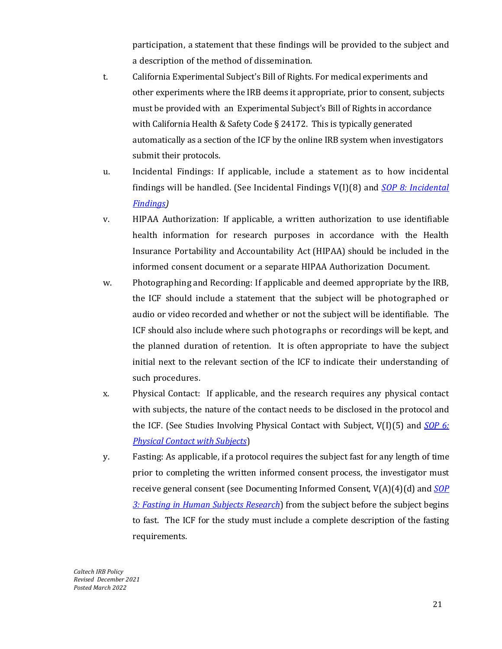participation, a statement that these findings will be provided to the subject and a description of the method of dissemination.

- t. California Experimental Subject's Bill of Rights. For medical experiments and other experiments where the IRB deems it appropriate, prior to consent, subjects must be provided with an Experimental Subject's Bill of Rights in accordance with California Health & Safety Code § 24172. This is typically generated automatically as a section of the ICF by the online IRB system when investigators submit their protocols.
- u. Incidental Findings: If applicable, include a statement as to how incidental findings will be handled. (See Incidental Findings V(I)(8) and *[SOP 8: Incidental](https://researchcompliance.caltech.edu/documents/20275/IRB_SOP_8_Incidental_Findings_FINAL.pdf)  [Findings\)](https://researchcompliance.caltech.edu/documents/20275/IRB_SOP_8_Incidental_Findings_FINAL.pdf)*
- v. HIPAA Authorization: If applicable, a written authorization to use identifiable health information for research purposes in accordance with the Health Insurance Portability and Accountability Act (HIPAA) should be included in the informed consent document or a separate HIPAA Authorization Document.
- w. Photographing and Recording: If applicable and deemed appropriate by the IRB, the ICF should include a statement that the subject will be photographed or audio or video recorded and whether or not the subject will be identifiable. The ICF should also include where such photographs or recordings will be kept, and the planned duration of retention. It is often appropriate to have the subject initial next to the relevant section of the ICF to indicate their understanding of such procedures.
- x. Physical Contact: If applicable, and the research requires any physical contact with subjects, the nature of the contact needs to be disclosed in the protocol and the ICF. (See Studies Involving Physical Contact with Subject, V(I)(5) and *[SOP 6:](https://researchcompliance.caltech.edu/documents/18734/IRB_SOP_06_Physical_Contact_with_Human_Subjects_03-2021.pdf)  [Physical Contact with Subjects](https://researchcompliance.caltech.edu/documents/18734/IRB_SOP_06_Physical_Contact_with_Human_Subjects_03-2021.pdf)*)
- y. Fasting: As applicable, if a protocol requires the subject fast for any length of time prior to completing the written informed consent process, the investigator must receive general consent (see Documenting Informed Consent, V(A)(4)(d) and *[SOP](https://researchcompliance.caltech.edu/documents/20141/IRB_SOP_3_Fasting_9.24.21_tC7GUla.pdf)  3: [Fasting in Human Subjects Research](https://researchcompliance.caltech.edu/documents/20141/IRB_SOP_3_Fasting_9.24.21_tC7GUla.pdf)*) from the subject before the subject begins to fast. The ICF for the study must include a complete description of the fasting requirements.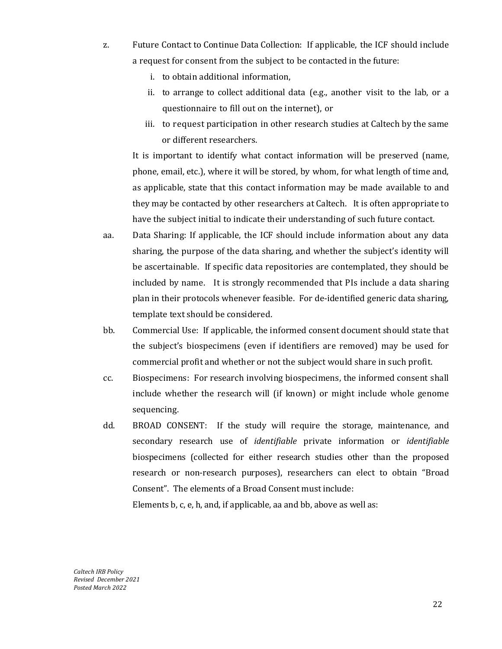- z. Future Contact to Continue Data Collection: If applicable, the ICF should include a request for consent from the subject to be contacted in the future:
	- i. to obtain additional information,
	- ii. to arrange to collect additional data (e.g., another visit to the lab, or a questionnaire to fill out on the internet), or
	- iii. to request participation in other research studies at Caltech by the same or different researchers.

It is important to identify what contact information will be preserved (name, phone, email, etc.), where it will be stored, by whom, for what length of time and, as applicable, state that this contact information may be made available to and they may be contacted by other researchers at Caltech. It is often appropriate to have the subject initial to indicate their understanding of such future contact.

- aa. Data Sharing: If applicable, the ICF should include information about any data sharing, the purpose of the data sharing, and whether the subject's identity will be ascertainable. If specific data repositories are contemplated, they should be included by name. It is strongly recommended that PIs include a data sharing plan in their protocols whenever feasible. For de-identified generic data sharing, template text should be considered.
- bb. Commercial Use: If applicable, the informed consent document should state that the subject's biospecimens (even if identifiers are removed) may be used for commercial profit and whether or not the subject would share in such profit.
- cc. Biospecimens: For research involving biospecimens, the informed consent shall include whether the research will (if known) or might include whole genome sequencing.
- dd. BROAD CONSENT: If the study will require the storage, maintenance, and secondary research use of *identifiable* private information or *identifiable* biospecimens (collected for either research studies other than the proposed research or non-research purposes), researchers can elect to obtain "Broad Consent". The elements of a Broad Consent must include:

Elements b, c, e, h, and, if applicable, aa and bb, above as well as: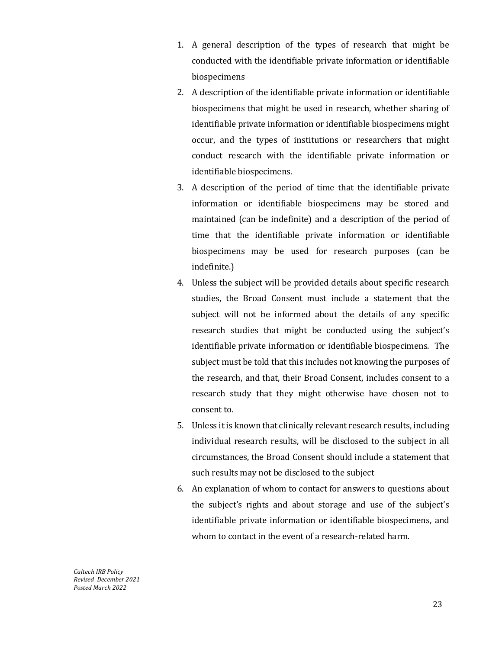- 1. A general description of the types of research that might be conducted with the identifiable private information or identifiable biospecimens
- 2. A description of the identifiable private information or identifiable biospecimens that might be used in research, whether sharing of identifiable private information or identifiable biospecimens might occur, and the types of institutions or researchers that might conduct research with the identifiable private information or identifiable biospecimens.
- 3. A description of the period of time that the identifiable private information or identifiable biospecimens may be stored and maintained (can be indefinite) and a description of the period of time that the identifiable private information or identifiable biospecimens may be used for research purposes (can be indefinite.)
- 4. Unless the subject will be provided details about specific research studies, the Broad Consent must include a statement that the subject will not be informed about the details of any specific research studies that might be conducted using the subject's identifiable private information or identifiable biospecimens. The subject must be told that this includes not knowing the purposes of the research, and that, their Broad Consent, includes consent to a research study that they might otherwise have chosen not to consent to.
- 5. Unless it is known that clinically relevant research results, including individual research results, will be disclosed to the subject in all circumstances, the Broad Consent should include a statement that such results may not be disclosed to the subject
- 6. An explanation of whom to contact for answers to questions about the subject's rights and about storage and use of the subject's identifiable private information or identifiable biospecimens, and whom to contact in the event of a research-related harm.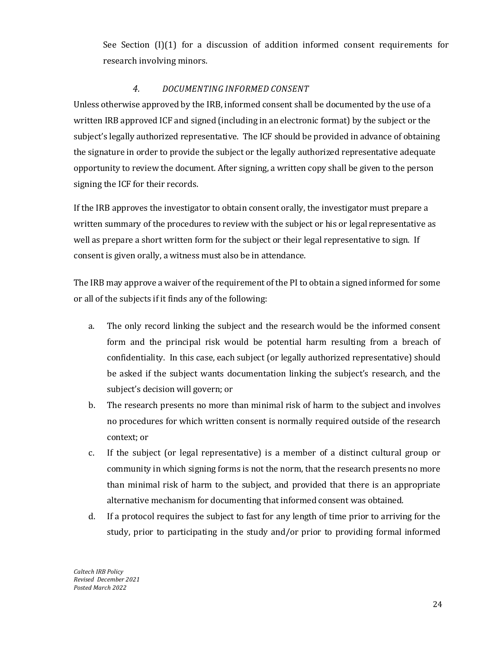See Section (I)(1) for a discussion of addition informed consent requirements for research involving minors.

### *4. DOCUMENTING INFORMED CONSENT*

<span id="page-24-0"></span>Unless otherwise approved by the IRB, informed consent shall be documented by the use of a written IRB approved ICF and signed (including in an electronic format) by the subject or the subject's legally authorized representative. The ICF should be provided in advance of obtaining the signature in order to provide the subject or the legally authorized representative adequate opportunity to review the document. After signing, a written copy shall be given to the person signing the ICF for their records.

If the IRB approves the investigator to obtain consent orally, the investigator must prepare a written summary of the procedures to review with the subject or his or legal representative as well as prepare a short written form for the subject or their legal representative to sign. If consent is given orally, a witness must also be in attendance.

The IRB may approve a waiver of the requirement of the PI to obtain a signed informed for some or all of the subjects if it finds any of the following:

- a. The only record linking the subject and the research would be the informed consent form and the principal risk would be potential harm resulting from a breach of confidentiality. In this case, each subject (or legally authorized representative) should be asked if the subject wants documentation linking the subject's research, and the subject's decision will govern; or
- b. The research presents no more than minimal risk of harm to the subject and involves no procedures for which written consent is normally required outside of the research context; or
- c. If the subject (or legal representative) is a member of a distinct cultural group or community in which signing forms is not the norm, that the research presents no more than minimal risk of harm to the subject, and provided that there is an appropriate alternative mechanism for documenting that informed consent was obtained.
- d. If a protocol requires the subject to fast for any length of time prior to arriving for the study, prior to participating in the study and/or prior to providing formal informed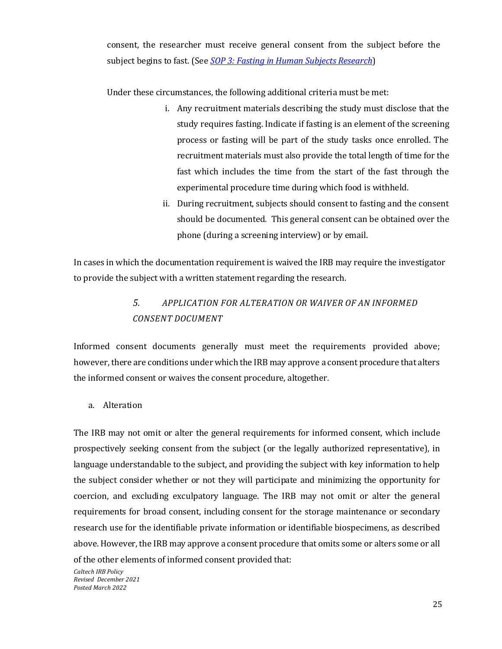consent, the researcher must receive general consent from the subject before the subject begins to fast. (See *[SOP 3: Fasting in Human Subjects Research](https://researchcompliance.caltech.edu/documents/20141/IRB_SOP_3_Fasting_9.24.21_tC7GUla.pdf)*)

Under these circumstances, the following additional criteria must be met:

- i. Any recruitment materials describing the study must disclose that the study requires fasting. Indicate if fasting is an element of the screening process or fasting will be part of the study tasks once enrolled. The recruitment materials must also provide the total length of time for the fast which includes the time from the start of the fast through the experimental procedure time during which food is withheld.
- ii. During recruitment, subjects should consent to fasting and the consent should be documented. This general consent can be obtained over the phone (during a screening interview) or by email.

<span id="page-25-0"></span>In cases in which the documentation requirement is waived the IRB may require the investigator to provide the subject with a written statement regarding the research.

# *5. APPLICATION FOR ALTERATION OR WAIVER OF AN INFORMED CONSENT DOCUMENT*

Informed consent documents generally must meet the requirements provided above; however, there are conditions under which the IRB may approve a consent procedure that alters the informed consent or waives the consent procedure, altogether.

a. Alteration

The IRB may not omit or alter the general requirements for informed consent, which include prospectively seeking consent from the subject (or the legally authorized representative), in language understandable to the subject, and providing the subject with key information to help the subject consider whether or not they will participate and minimizing the opportunity for coercion, and excluding exculpatory language. The IRB may not omit or alter the general requirements for broad consent, including consent for the storage maintenance or secondary research use for the identifiable private information or identifiable biospecimens, as described above. However, the IRB may approve a consent procedure that omits some or alters some or all of the other elements of informed consent provided that: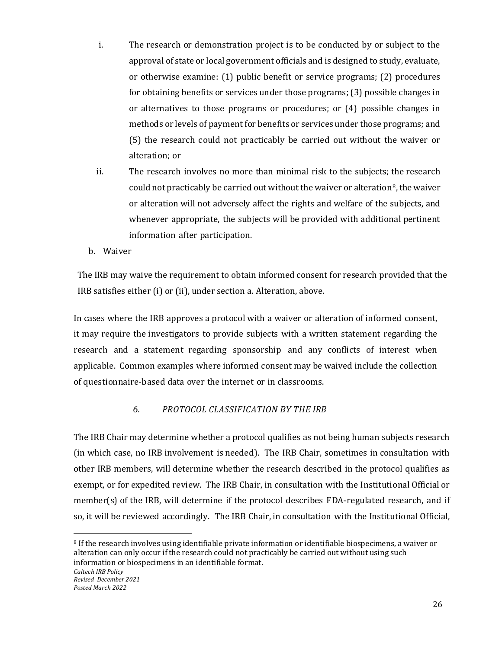- i. The research or demonstration project is to be conducted by or subject to the approval of state or local government officials and is designed to study, evaluate, or otherwise examine: (1) public benefit or service programs; (2) procedures for obtaining benefits or services under those programs; (3) possible changes in or alternatives to those programs or procedures; or (4) possible changes in methods or levels of payment for benefits or services under those programs; and (5) the research could not practicably be carried out without the waiver or alteration; or
- ii. The research involves no more than minimal risk to the subjects; the research could not practicably be carried out without the waiver or alteration<sup>[8](#page-26-1)</sup>, the waiver or alteration will not adversely affect the rights and welfare of the subjects, and whenever appropriate, the subjects will be provided with additional pertinent information after participation.
- b. Waiver

The IRB may waive the requirement to obtain informed consent for research provided that the IRB satisfies either (i) or (ii), under section a. Alteration, above.

In cases where the IRB approves a protocol with a waiver or alteration of informed consent, it may require the investigators to provide subjects with a written statement regarding the research and a statement regarding sponsorship and any conflicts of interest when applicable. Common examples where informed consent may be waived include the collection of questionnaire-based data over the internet or in classrooms.

# *6. PROTOCOL CLASSIFICATION BY THE IRB*

<span id="page-26-0"></span>The IRB Chair may determine whether a protocol qualifies as not being human subjects research (in which case, no IRB involvement is needed). The IRB Chair, sometimes in consultation with other IRB members, will determine whether the research described in the protocol qualifies as exempt, or for expedited review. The IRB Chair, in consultation with the Institutional Official or member(s) of the IRB, will determine if the protocol describes FDA-regulated research, and if so, it will be reviewed accordingly. The IRB Chair, in consultation with the Institutional Official,

l

<span id="page-26-1"></span><sup>8</sup> If the research involves using identifiable private information or identifiable biospecimens, a waiver or alteration can only occur if the research could not practicably be carried out without using such information or biospecimens in an identifiable format.

*Caltech IRB Policy Revised December 2021 Posted March 2022*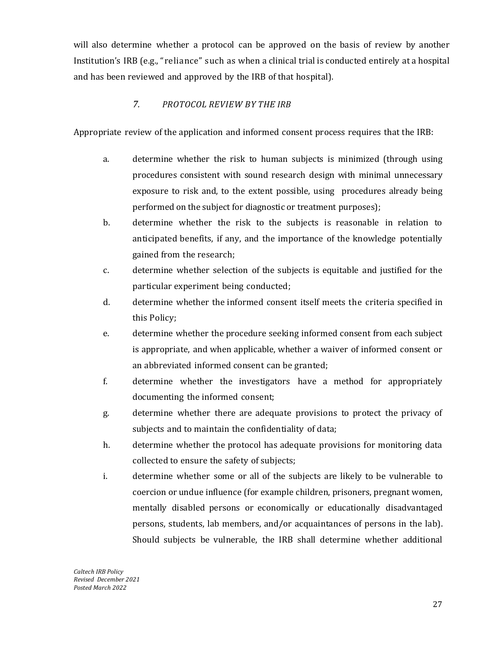will also determine whether a protocol can be approved on the basis of review by another Institution's IRB (e.g., "reliance" such as when a clinical trial is conducted entirely at a hospital and has been reviewed and approved by the IRB of that hospital).

# *7. PROTOCOL REVIEW BY THE IRB*

<span id="page-27-0"></span>Appropriate review of the application and informed consent process requires that the IRB:

- a. determine whether the risk to human subjects is minimized (through using procedures consistent with sound research design with minimal unnecessary exposure to risk and, to the extent possible, using procedures already being performed on the subject for diagnostic or treatment purposes);
- b. determine whether the risk to the subjects is reasonable in relation to anticipated benefits, if any, and the importance of the knowledge potentially gained from the research;
- c. determine whether selection of the subjects is equitable and justified for the particular experiment being conducted;
- d. determine whether the informed consent itself meets the criteria specified in this Policy;
- e. determine whether the procedure seeking informed consent from each subject is appropriate, and when applicable, whether a waiver of informed consent or an abbreviated informed consent can be granted;
- f. determine whether the investigators have a method for appropriately documenting the informed consent;
- g. determine whether there are adequate provisions to protect the privacy of subjects and to maintain the confidentiality of data;
- h. determine whether the protocol has adequate provisions for monitoring data collected to ensure the safety of subjects;
- i. determine whether some or all of the subjects are likely to be vulnerable to coercion or undue influence (for example children, prisoners, pregnant women, mentally disabled persons or economically or educationally disadvantaged persons, students, lab members, and/or acquaintances of persons in the lab). Should subjects be vulnerable, the IRB shall determine whether additional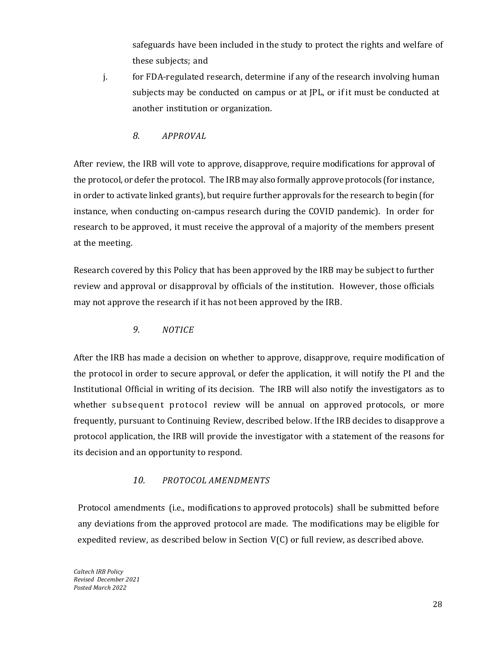safeguards have been included in the study to protect the rights and welfare of these subjects; and

- j. for FDA-regulated research, determine if any of the research involving human subjects may be conducted on campus or at JPL, or if it must be conducted at another institution or organization.
	- *8. APPROVAL*

<span id="page-28-0"></span>After review, the IRB will vote to approve, disapprove, require modifications for approval of the protocol, or defer the protocol. The IRB may also formally approve protocols (for instance, in order to activate linked grants), but require further approvals for the research to begin (for instance, when conducting on-campus research during the COVID pandemic). In order for research to be approved, it must receive the approval of a majority of the members present at the meeting.

Research covered by this Policy that has been approved by the IRB may be subject to further review and approval or disapproval by officials of the institution. However, those officials may not approve the research if it has not been approved by the IRB.

*9. NOTICE*

<span id="page-28-1"></span>After the IRB has made a decision on whether to approve, disapprove, require modification of the protocol in order to secure approval, or defer the application, it will notify the PI and the Institutional Official in writing of its decision. The IRB will also notify the investigators as to whether subsequent protocol review will be annual on approved protocols, or more frequently, pursuant to Continuing Review, described below. If the IRB decides to disapprove a protocol application, the IRB will provide the investigator with a statement of the reasons for its decision and an opportunity to respond.

# *10. PROTOCOL AMENDMENTS*

<span id="page-28-2"></span>Protocol amendments (i.e., modifications to approved protocols) shall be submitted before any deviations from the approved protocol are made. The modifications may be eligible for expedited review, as described below in Section  $V(C)$  or full review, as described above.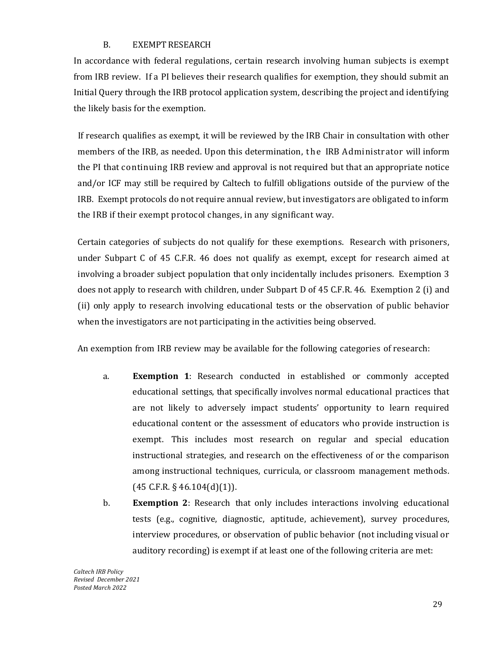# B. EXEMPT RESEARCH

<span id="page-29-0"></span>In accordance with federal regulations, certain research involving human subjects is exempt from IRB review. If a PI believes their research qualifies for exemption, they should submit an Initial Query through the IRB protocol application system, describing the project and identifying the likely basis for the exemption.

If research qualifies as exempt, it will be reviewed by the IRB Chair in consultation with other members of the IRB, as needed. Upon this determination, the IRB Administrator will inform the PI that continuing IRB review and approval is not required but that an appropriate notice and/or ICF may still be required by Caltech to fulfill obligations outside of the purview of the IRB. Exempt protocols do not require annual review, but investigators are obligated to inform the IRB if their exempt protocol changes, in any significant way.

Certain categories of subjects do not qualify for these exemptions. Research with prisoners, under Subpart C of 45 C.F.R. 46 does not qualify as exempt, except for research aimed at involving a broader subject population that only incidentally includes prisoners. Exemption 3 does not apply to research with children, under Subpart D of 45 C.F.R. 46. Exemption 2 (i) and (ii) only apply to research involving educational tests or the observation of public behavior when the investigators are not participating in the activities being observed.

An exemption from IRB review may be available for the following categories of research:

- a. **Exemption 1**: Research conducted in established or commonly accepted educational settings, that specifically involves normal educational practices that are not likely to adversely impact students' opportunity to learn required educational content or the assessment of educators who provide instruction is exempt. This includes most research on regular and special education instructional strategies, and research on the effectiveness of or the comparison among instructional techniques, curricula, or classroom management methods.  $(45$  C.F.R. § 46.104 $(d)(1)$ .
- b. **Exemption 2**: Research that only includes interactions involving educational tests (e.g., cognitive, diagnostic, aptitude, achievement), survey procedures, interview procedures, or observation of public behavior (not including visual or auditory recording) is exempt if at least one of the following criteria are met: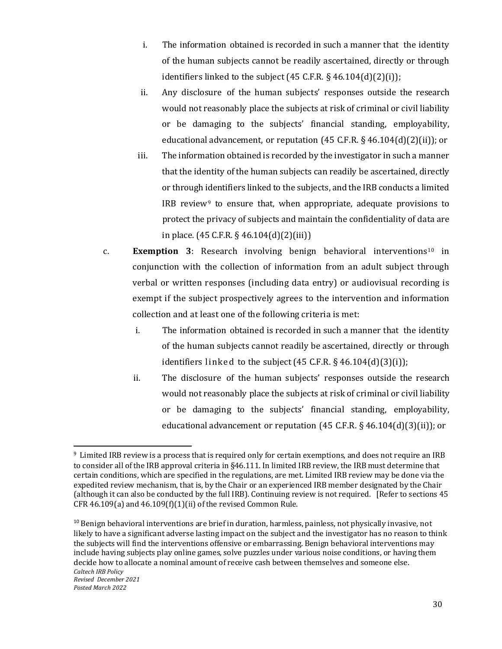- i. The information obtained is recorded in such a manner that the identity of the human subjects cannot be readily ascertained, directly or through identifiers linked to the subject  $(45 \text{ C.F.R.} \S 46.104(d)(2)(i));$
- ii. Any disclosure of the human subjects' responses outside the research would not reasonably place the subjects at risk of criminal or civil liability or be damaging to the subjects' financial standing, employability, educational advancement, or reputation (45 C.F.R. § 46.104(d)(2)(ii)); or
- iii. The information obtained is recorded by the investigator in such a manner that the identity of the human subjects can readily be ascertained, directly or through identifiers linked to the subjects, and the IRB conducts a limited IRB review<sup>[9](#page-30-0)</sup> to ensure that, when appropriate, adequate provisions to protect the privacy of subjects and maintain the confidentiality of data are in place. (45 C.F.R. § 46.104(d)(2)(iii))
- c. **Exemption 3**: Research involving benign behavioral interventions[10](#page-30-1) in conjunction with the collection of information from an adult subject through verbal or written responses (including data entry) or audiovisual recording is exempt if the subject prospectively agrees to the intervention and information collection and at least one of the following criteria is met:
	- i. The information obtained is recorded in such a manner that the identity of the human subjects cannot readily be ascertained, directly or through identifiers linked to the subject  $(45 \text{ C.F.R.} \S 46.104(d)(3)(i));$
	- ii. The disclosure of the human subjects' responses outside the research would not reasonably place the subjects at risk of criminal or civil liability or be damaging to the subjects' financial standing, employability, educational advancement or reputation (45 C.F.R. § 46.104(d)(3)(ii)); or

<span id="page-30-0"></span><sup>-&</sup>lt;br>9 <sup>9</sup> Limited IRB review is a process that is required only for certain exemptions, and does not require an IRB to consider all of the IRB approval criteria in §46.111. In limited IRB review, the IRB must determine that certain conditions, which are specified in the regulations, are met. Limited IRB review may be done via the expedited review mechanism, that is, by the Chair or an experienced IRB member designated by the Chair (although it can also be conducted by the full IRB). Continuing review is not required. [Refer to sections 45 CFR 46.109(a) and 46.109(f)(1)(ii) of the revised Common Rule.

<span id="page-30-1"></span>*Caltech IRB Policy Revised December 2021 Posted March 2022*  $10$  Benign behavioral interventions are brief in duration, harmless, painless, not physically invasive, not likely to have a significant adverse lasting impact on the subject and the investigator has no reason to think the subjects will find the interventions offensive or embarrassing. Benign behavioral interventions may include having subjects play online games, solve puzzles under various noise conditions, or having them decide how to allocate a nominal amount of receive cash between themselves and someone else.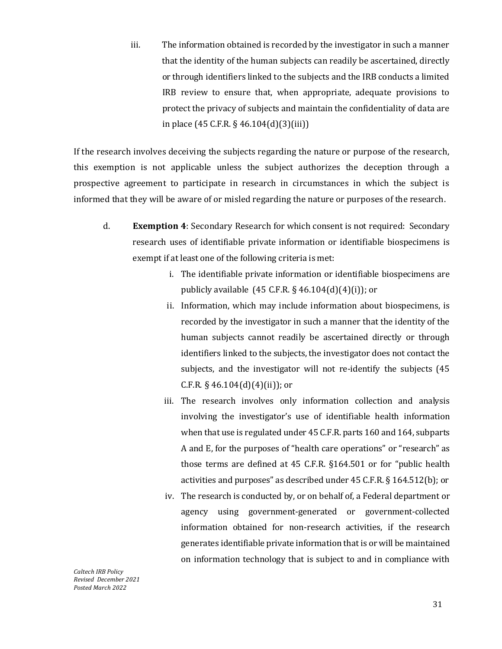iii. The information obtained is recorded by the investigator in such a manner that the identity of the human subjects can readily be ascertained, directly or through identifiers linked to the subjects and the IRB conducts a limited IRB review to ensure that, when appropriate, adequate provisions to protect the privacy of subjects and maintain the confidentiality of data are in place (45 C.F.R. § 46.104(d)(3)(iii))

If the research involves deceiving the subjects regarding the nature or purpose of the research, this exemption is not applicable unless the subject authorizes the deception through a prospective agreement to participate in research in circumstances in which the subject is informed that they will be aware of or misled regarding the nature or purposes of the research.

- d. **Exemption 4**: Secondary Research for which consent is not required: Secondary research uses of identifiable private information or identifiable biospecimens is exempt if at least one of the following criteria is met:
	- i. The identifiable private information or identifiable biospecimens are publicly available  $(45 \text{ C.F.R. } §\,46.104(d)(4)(i))$ ; or
	- ii. Information, which may include information about biospecimens, is recorded by the investigator in such a manner that the identity of the human subjects cannot readily be ascertained directly or through identifiers linked to the subjects, the investigator does not contact the subjects, and the investigator will not re-identify the subjects (45 C.F.R.  $\S$  46.104(d)(4)(ii)); or
	- iii. The research involves only information collection and analysis involving the investigator's use of identifiable health information when that use is regulated under 45 C.F.R. parts 160 and 164, subparts A and E, for the purposes of "health care operations" or "research" as those terms are defined at 45 C.F.R. §164.501 or for "public health activities and purposes" as described under 45 C.F.R. § 164.512(b); or
	- iv. The research is conducted by, or on behalf of, a Federal department or agency using government-generated or government-collected information obtained for non-research activities, if the research generates identifiable private information that is or will be maintained on information technology that is subject to and in compliance with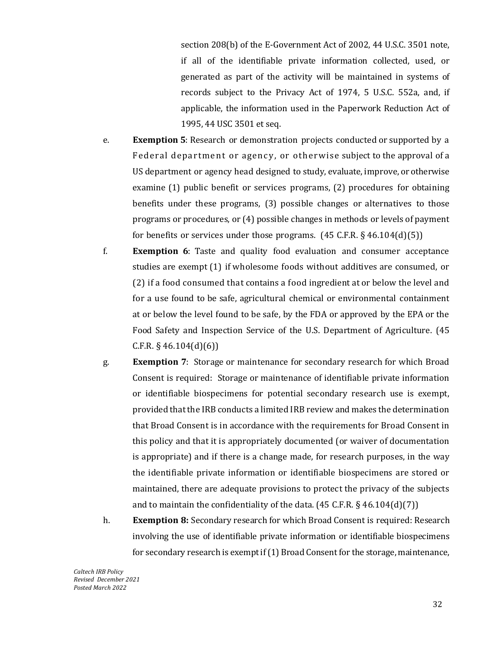section 208(b) of the E-Government Act of 2002, 44 U.S.C. 3501 note, if all of the identifiable private information collected, used, or generated as part of the activity will be maintained in systems of records subject to the Privacy Act of 1974, 5 U.S.C. 552a, and, if applicable, the information used in the Paperwork Reduction Act of 1995, 44 USC 3501 et seq.

- e. **Exemption 5**: Research or demonstration projects conducted or supported by a Federal department or agency, or otherwise subject to the approval of a US department or agency head designed to study, evaluate, improve, or otherwise examine (1) public benefit or services programs, (2) procedures for obtaining benefits under these programs, (3) possible changes or alternatives to those programs or procedures, or (4) possible changes in methods or levels of payment for benefits or services under those programs.  $(45 \text{ C.F.R.} \S 46.104(d)(5))$
- f. **Exemption 6**: Taste and quality food evaluation and consumer acceptance studies are exempt (1) if wholesome foods without additives are consumed, or (2) if a food consumed that contains a food ingredient at or below the level and for a use found to be safe, agricultural chemical or environmental containment at or below the level found to be safe, by the FDA or approved by the EPA or the Food Safety and Inspection Service of the U.S. Department of Agriculture. (45  $C.F.R. § 46.104(d)(6)$
- g. **Exemption 7**: Storage or maintenance for secondary research for which Broad Consent is required: Storage or maintenance of identifiable private information or identifiable biospecimens for potential secondary research use is exempt, provided that the IRB conducts a limited IRB review and makes the determination that Broad Consent is in accordance with the requirements for Broad Consent in this policy and that it is appropriately documented (or waiver of documentation is appropriate) and if there is a change made, for research purposes, in the way the identifiable private information or identifiable biospecimens are stored or maintained, there are adequate provisions to protect the privacy of the subjects and to maintain the confidentiality of the data.  $(45 \text{ C.F.R. } §\,46.104(d)(7))$
- h. **Exemption 8:** Secondary research for which Broad Consent is required: Research involving the use of identifiable private information or identifiable biospecimens for secondary research is exempt if(1) Broad Consent for the storage, maintenance,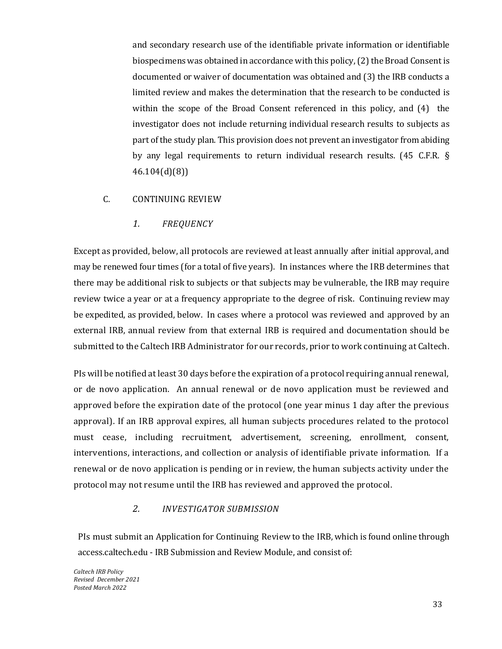and secondary research use of the identifiable private information or identifiable biospecimens was obtained in accordance with this policy, (2) the Broad Consent is documented or waiver of documentation was obtained and (3) the IRB conducts a limited review and makes the determination that the research to be conducted is within the scope of the Broad Consent referenced in this policy, and (4) the investigator does not include returning individual research results to subjects as part of the study plan. This provision does not prevent an investigator from abiding by any legal requirements to return individual research results. (45 C.F.R. § 46.104(d)(8))

### <span id="page-33-1"></span><span id="page-33-0"></span>C. CONTINUING REVIEW

### *1. FREQUENCY*

Except as provided, below, all protocols are reviewed at least annually after initial approval, and may be renewed four times (for a total of five years). In instances where the IRB determines that there may be additional risk to subjects or that subjects may be vulnerable, the IRB may require review twice a year or at a frequency appropriate to the degree of risk. Continuing review may be expedited, as provided, below. In cases where a protocol was reviewed and approved by an external IRB, annual review from that external IRB is required and documentation should be submitted to the Caltech IRB Administrator for our records, prior to work continuing at Caltech.

PIs will be notified at least 30 days before the expiration of a protocol requiring annual renewal, or de novo application. An annual renewal or de novo application must be reviewed and approved before the expiration date of the protocol (one year minus 1 day after the previous approval). If an IRB approval expires, all human subjects procedures related to the protocol must cease, including recruitment, advertisement, screening, enrollment, consent, interventions, interactions, and collection or analysis of identifiable private information. If a renewal or de novo application is pending or in review, the human subjects activity under the protocol may not resume until the IRB has reviewed and approved the protocol.

### *2. INVESTIGATOR SUBMISSION*

<span id="page-33-2"></span>PIs must submit an Application for Continuing Review to the IRB, which is found online through access.caltech.edu - IRB Submission and Review Module, and consist of: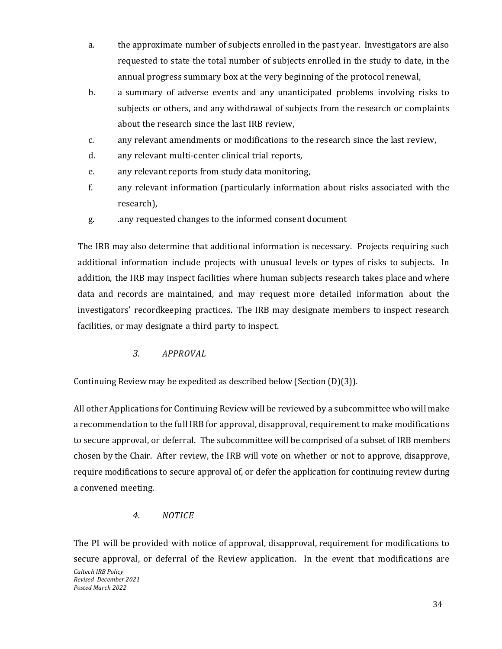- a. the approximate number of subjects enrolled in the past year. Investigators are also requested to state the total number of subjects enrolled in the study to date, in the annual progress summary box at the very beginning of the protocol renewal,
- b. a summary of adverse events and any unanticipated problems involving risks to subjects or others, and any withdrawal of subjects from the research or complaints about the research since the last IRB review,
- c. any relevant amendments or modifications to the research since the last review,
- d. any relevant multi-center clinical trial reports,
- e. any relevant reports from study data monitoring,
- f. any relevant information (particularly information about risks associated with the research),
- g. .any requested changes to the informed consent document

The IRB may also determine that additional information is necessary. Projects requiring such additional information include projects with unusual levels or types of risks to subjects. In addition, the IRB may inspect facilities where human subjects research takes place and where data and records are maintained, and may request more detailed information about the investigators' recordkeeping practices. The IRB may designate members to inspect research facilities, or may designate a third party to inspect.

# *3. APPROVAL*

<span id="page-34-0"></span>Continuing Review may be expedited as described below (Section (D)(3)).

All other Applications for Continuing Review will be reviewed by a subcommittee who will make a recommendation to the full IRB for approval, disapproval, requirement to make modifications to secure approval, or deferral. The subcommittee will be comprised of a subset of IRB members chosen by the Chair. After review, the IRB will vote on whether or not to approve, disapprove, require modifications to secure approval of, or defer the application for continuing review during a convened meeting.

# *4. NOTICE*

<span id="page-34-1"></span>The PI will be provided with notice of approval, disapproval, requirement for modifications to secure approval, or deferral of the Review application. In the event that modifications are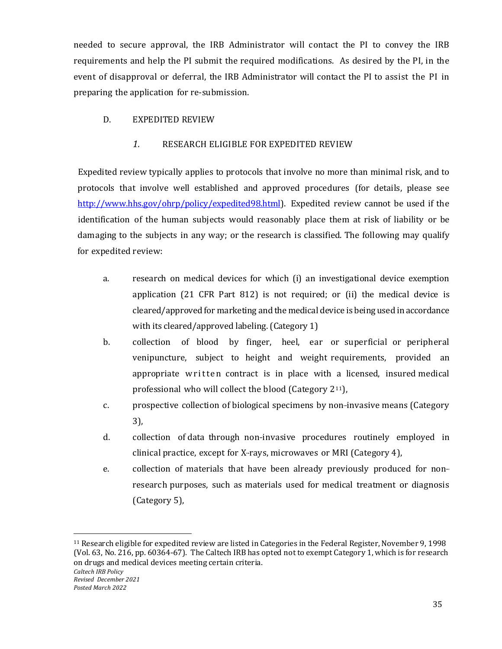needed to secure approval, the IRB Administrator will contact the PI to convey the IRB requirements and help the PI submit the required modifications. As desired by the PI, in the event of disapproval or deferral, the IRB Administrator will contact the PI to assist the PI in preparing the application for re-submission.

### <span id="page-35-1"></span><span id="page-35-0"></span>D. EXPEDITED REVIEW

### *1.* RESEARCH ELIGIBLE FOR EXPEDITED REVIEW

Expedited review typically applies to protocols that involve no more than minimal risk, and to protocols that involve well established and approved procedures (for details, please see [http://www.hhs.gov/ohrp/policy/expedited98.html\)](http://www.hhs.gov/ohrp/policy/expedited98.html). Expedited review cannot be used if the identification of the human subjects would reasonably place them at risk of liability or be damaging to the subjects in any way; or the research is classified. The following may qualify for expedited review:

- a. research on medical devices for which (i) an investigational device exemption application (21 CFR Part 812) is not required; or (ii) the medical device is cleared/approved for marketing and the medical device is being used in accordance with its cleared/approved labeling. (Category 1)
- b. collection of blood by finger, heel, ear or superficial or peripheral venipuncture, subject to height and weight requirements, provided an appropriate written contract is in place with a licensed, insured medical professional who will collect the blood (Category  $2^{11}$ ),
- c. prospective collection of biological specimens by non-invasive means (Category 3),
- d. collection of data through non-invasive procedures routinely employed in clinical practice, except for X-rays, microwaves or MRI (Category 4),
- e. collection of materials that have been already previously produced for non-research purposes, such as materials used for medical treatment or diagnosis (Category 5),

l

<span id="page-35-2"></span><sup>11</sup> Research eligible for expedited review are listed in Categories in the Federal Register, November 9, 1998 (Vol. 63, No. 216, pp. 60364-67). The Caltech IRB has opted not to exempt Category 1, which is for research on drugs and medical devices meeting certain criteria.

*Posted March 2022*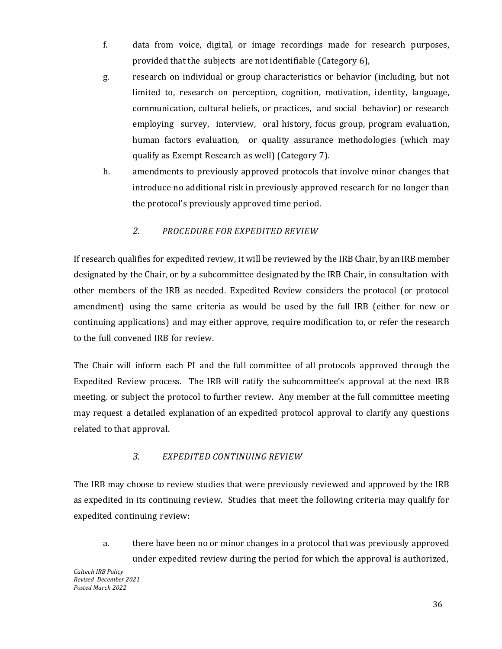- f. data from voice, digital, or image recordings made for research purposes, provided that the subjects are not identifiable (Category 6),
- g. research on individual or group characteristics or behavior (including, but not limited to, research on perception, cognition, motivation, identity, language, communication, cultural beliefs, or practices, and social behavior) or research employing survey, interview, oral history, focus group, program evaluation, human factors evaluation, or quality assurance methodologies (which may qualify as Exempt Research as well) (Category 7).
- h. amendments to previously approved protocols that involve minor changes that introduce no additional risk in previously approved research for no longer than the protocol's previously approved time period.

# *2. PROCEDURE FOR EXPEDITED REVIEW*

<span id="page-36-0"></span>If research qualifies for expedited review, it will be reviewed by the IRB Chair, by an IRB member designated by the Chair, or by a subcommittee designated by the IRB Chair, in consultation with other members of the IRB as needed. Expedited Review considers the protocol (or protocol amendment) using the same criteria as would be used by the full IRB (either for new or continuing applications) and may either approve, require modification to, or refer the research to the full convened IRB for review.

The Chair will inform each PI and the full committee of all protocols approved through the Expedited Review process. The IRB will ratify the subcommittee's approval at the next IRB meeting, or subject the protocol to further review. Any member at the full committee meeting may request a detailed explanation of an expedited protocol approval to clarify any questions related to that approval.

### *3. EXPEDITED CONTINUING REVIEW*

<span id="page-36-1"></span>The IRB may choose to review studies that were previously reviewed and approved by the IRB as expedited in its continuing review. Studies that meet the following criteria may qualify for expedited continuing review:

a. there have been no or minor changes in a protocol that was previously approved under expedited review during the period for which the approval is authorized,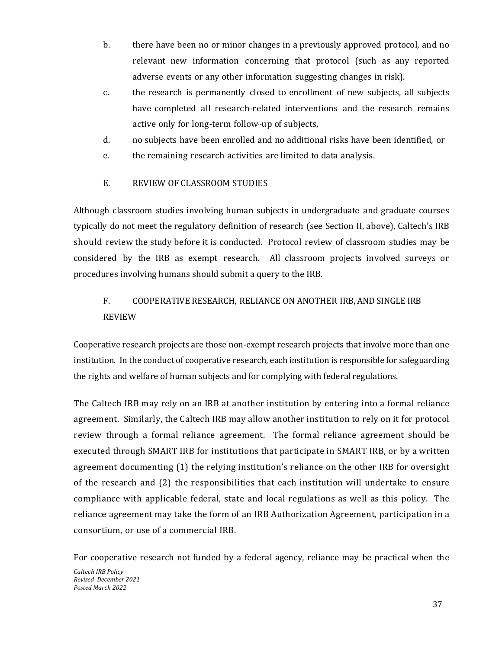- b. there have been no or minor changes in a previously approved protocol, and no relevant new information concerning that protocol (such as any reported adverse events or any other information suggesting changes in risk).
- c. the research is permanently closed to enrollment of new subjects, all subjects have completed all research-related interventions and the research remains active only for long-term follow-up of subjects,
- d. no subjects have been enrolled and no additional risks have been identified, or
- e. the remaining research activities are limited to data analysis.
- E. REVIEW OF CLASSROOM STUDIES

<span id="page-37-0"></span>Although classroom studies involving human subjects in undergraduate and graduate courses typically do not meet the regulatory definition of research (see Section II, above), Caltech's IRB should review the study before it is conducted. Protocol review of classroom studies may be considered by the IRB as exempt research. All classroom projects involved surveys or procedures involving humans should submit a query to the IRB.

# <span id="page-37-1"></span>F. COOPERATIVE RESEARCH, RELIANCE ON ANOTHER IRB, AND SINGLE IRB REVIEW

Cooperative research projects are those non-exempt research projects that involve more than one institution. In the conduct of cooperative research, each institution is responsible for safeguarding the rights and welfare of human subjects and for complying with federal regulations.

The Caltech IRB may rely on an IRB at another institution by entering into a formal reliance agreement. Similarly, the Caltech IRB may allow another institution to rely on it for protocol review through a formal reliance agreement. The formal reliance agreement should be executed through SMART IRB for institutions that participate in SMART IRB, or by a written agreement documenting (1) the relying institution's reliance on the other IRB for oversight of the research and (2) the responsibilities that each institution will undertake to ensure compliance with applicable federal, state and local regulations as well as this policy. The reliance agreement may take the form of an IRB Authorization Agreement, participation in a consortium, or use of a commercial IRB.

For cooperative research not funded by a federal agency, reliance may be practical when the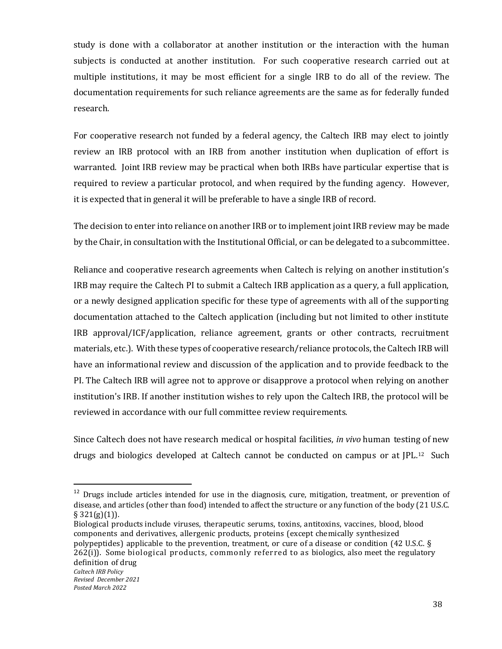study is done with a collaborator at another institution or the interaction with the human subjects is conducted at another institution. For such cooperative research carried out at multiple institutions, it may be most efficient for a single IRB to do all of the review. The documentation requirements for such reliance agreements are the same as for federally funded research.

For cooperative research not funded by a federal agency, the Caltech IRB may elect to jointly review an IRB protocol with an IRB from another institution when duplication of effort is warranted. Joint IRB review may be practical when both IRBs have particular expertise that is required to review a particular protocol, and when required by the funding agency. However, it is expected that in general it will be preferable to have a single IRB of record.

The decision to enter into reliance on another IRB or to implement joint IRB review may be made by the Chair, in consultation with the Institutional Official, or can be delegated to a subcommittee.

Reliance and cooperative research agreements when Caltech is relying on another institution's IRB may require the Caltech PI to submit a Caltech IRB application as a query, a full application, or a newly designed application specific for these type of agreements with all of the supporting documentation attached to the Caltech application (including but not limited to other institute IRB approval/ICF/application, reliance agreement, grants or other contracts, recruitment materials, etc.). With these types of cooperative research/reliance protocols, the Caltech IRB will have an informational review and discussion of the application and to provide feedback to the PI. The Caltech IRB will agree not to approve or disapprove a protocol when relying on another institution's IRB. If another institution wishes to rely upon the Caltech IRB, the protocol will be reviewed in accordance with our full committee review requirements.

Since Caltech does not have research medical or hospital facilities, *in vivo* human testing of new drugs and biologics developed at Caltech cannot be conducted on campus or at JPL.<sup>[12](#page-38-0)</sup> Such

<span id="page-38-0"></span> $12$  Drugs include articles intended for use in the diagnosis, cure, mitigation, treatment, or prevention of disease, and articles (other than food) intended to affect the structure or any function of the body (21 U.S.C.  $§$  321(g)(1)).

Biological products include viruses, therapeutic serums, toxins, antitoxins, vaccines, blood, blood components and derivatives, allergenic products, proteins (except chemically synthesized polypeptides) applicable to the prevention, treatment, or cure of a disease or condition (42 U.S.C. § 262(i)). Some biological products, commonly referred to as biologics, also meet the regulatory definition of drug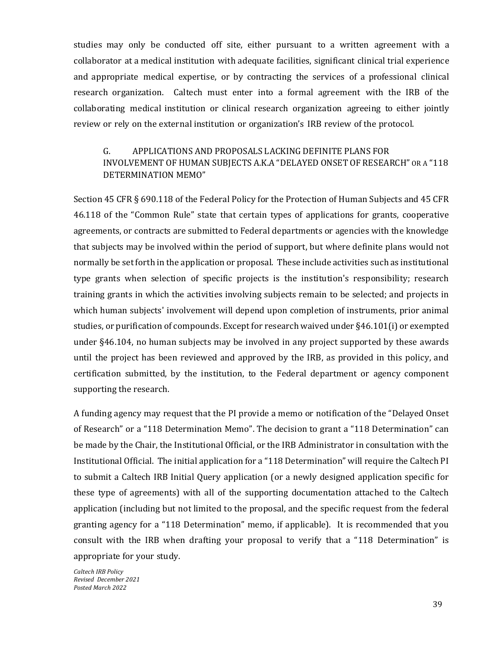studies may only be conducted off site, either pursuant to a written agreement with a collaborator at a medical institution with adequate facilities, significant clinical trial experience and appropriate medical expertise, or by contracting the services of a professional clinical research organization. Caltech must enter into a formal agreement with the IRB of the collaborating medical institution or clinical research organization agreeing to either jointly review or rely on the external institution or organization's IRB review of the protocol.

# <span id="page-39-0"></span>G. APPLICATIONS AND PROPOSALS LACKING DEFINITE PLANS FOR INVOLVEMENT OF HUMAN SUBJECTS A.K.A "DELAYED ONSET OF RESEARCH" OR A "118 DETERMINATION MEMO"

Section 45 CFR § 690.118 of the Federal Policy for the Protection of Human Subjects and 45 CFR 46.118 of the "Common Rule" state that certain types of applications for grants, cooperative agreements, or contracts are submitted to Federal departments or agencies with the knowledge that subjects may be involved within the period of support, but where definite plans would not normally be set forth in the application or proposal. These include activities such as institutional type grants when selection of specific projects is the institution's responsibility; research training grants in which the activities involving subjects remain to be selected; and projects in which human subjects' involvement will depend upon completion of instruments, prior animal studies, or purification of compounds. Except for research waived under §46.101(i) or exempted under §46.104, no human subjects may be involved in any project supported by these awards until the project has been reviewed and approved by the IRB, as provided in this policy, and certification submitted, by the institution, to the Federal department or agency component supporting the research.

A funding agency may request that the PI provide a memo or notification of the "Delayed Onset of Research" or a "118 Determination Memo". The decision to grant a "118 Determination" can be made by the Chair, the Institutional Official, or the IRB Administrator in consultation with the Institutional Official. The initial application for a "118 Determination" will require the Caltech PI to submit a Caltech IRB Initial Query application (or a newly designed application specific for these type of agreements) with all of the supporting documentation attached to the Caltech application (including but not limited to the proposal, and the specific request from the federal granting agency for a "118 Determination" memo, if applicable). It is recommended that you consult with the IRB when drafting your proposal to verify that a "118 Determination" is appropriate for your study.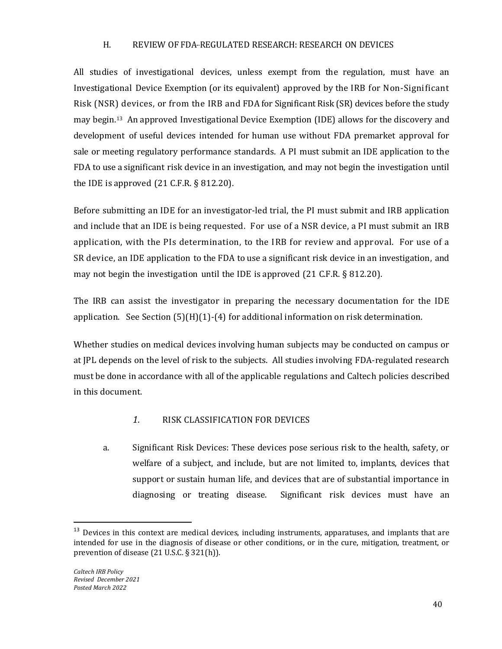#### H. REVIEW OF FDA-REGULATED RESEARCH: RESEARCH ON DEVICES

<span id="page-40-0"></span>All studies of investigational devices, unless exempt from the regulation, must have an Investigational Device Exemption (or its equivalent) approved by the IRB for Non-Significant Risk (NSR) devices, or from the IRB and FDA for Significant Risk (SR) devices before the study may begin.[13](#page-40-2) An approved Investigational Device Exemption (IDE) allows for the discovery and development of useful devices intended for human use without FDA premarket approval for sale or meeting regulatory performance standards. A PI must submit an IDE application to the FDA to use a significant risk device in an investigation, and may not begin the investigation until the IDE is approved  $(21 \text{ C.F.R. } § 812.20)$ .

Before submitting an IDE for an investigator-led trial, the PI must submit and IRB application and include that an IDE is being requested. For use of a NSR device, a PI must submit an IRB application, with the PIs determination, to the IRB for review and approval. For use of a SR device, an IDE application to the FDA to use a significant risk device in an investigation, and may not begin the investigation until the IDE is approved (21 C.F.R. § 812.20).

The IRB can assist the investigator in preparing the necessary documentation for the IDE application. See Section  $(5)(H)(1)-(4)$  for additional information on risk determination.

Whether studies on medical devices involving human subjects may be conducted on campus or at JPL depends on the level of risk to the subjects. All studies involving FDA-regulated research must be done in accordance with all of the applicable regulations and Caltech policies described in this document.

### *1.* RISK CLASSIFICATION FOR DEVICES

<span id="page-40-1"></span>a. Significant Risk Devices: These devices pose serious risk to the health, safety, or welfare of a subject, and include, but are not limited to, implants, devices that support or sustain human life, and devices that are of substantial importance in diagnosing or treating disease. Significant risk devices must have an

<span id="page-40-2"></span><sup>&</sup>lt;sup>13</sup> Devices in this context are medical devices, including instruments, apparatuses, and implants that are intended for use in the diagnosis of disease or other conditions, or in the cure, mitigation, treatment, or prevention of disease (21 U.S.C. § 321(h)).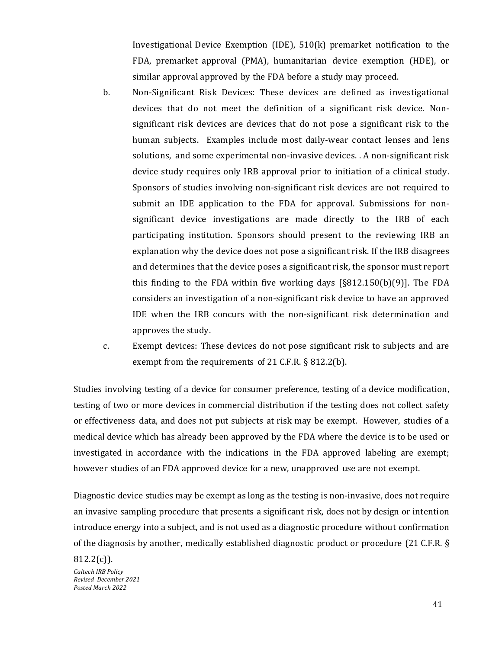Investigational Device Exemption (IDE), 510(k) premarket notification to the FDA, premarket approval (PMA), humanitarian device exemption (HDE), or similar approval approved by the FDA before a study may proceed.

b. Non-Significant Risk Devices: These devices are defined as investigational devices that do not meet the definition of a significant risk device. Nonsignificant risk devices are devices that do not pose a significant risk to the human subjects. Examples include most daily-wear contact lenses and lens solutions, and some experimental non-invasive devices. . A non-significant risk device study requires only IRB approval prior to initiation of a clinical study. Sponsors of studies involving non-significant risk devices are not required to submit an IDE application to the FDA for approval. Submissions for nonsignificant device investigations are made directly to the IRB of each participating institution. Sponsors should present to the reviewing IRB an explanation why the device does not pose a significant risk. If the IRB disagrees and determines that the device poses a significant risk, the sponsor must report this finding to the FDA within five working days  $[§812.150(b)(9)]$ . The FDA considers an investigation of a non-significant risk device to have an approved IDE when the IRB concurs with the non-significant risk determination and approves the study.

c. Exempt devices: These devices do not pose significant risk to subjects and are exempt from the requirements of 21 C.F.R. § 812.2(b).

Studies involving testing of a device for consumer preference, testing of a device modification, testing of two or more devices in commercial distribution if the testing does not collect safety or effectiveness data, and does not put subjects at risk may be exempt. However, studies of a medical device which has already been approved by the FDA where the device is to be used or investigated in accordance with the indications in the FDA approved labeling are exempt; however studies of an FDA approved device for a new, unapproved use are not exempt.

Diagnostic device studies may be exempt as long as the testing is non-invasive, does not require an invasive sampling procedure that presents a significant risk, does not by design or intention introduce energy into a subject, and is not used as a diagnostic procedure without confirmation of the diagnosis by another, medically established diagnostic product or procedure (21 C.F.R. §

*Caltech IRB Policy Revised December 2021 Posted March 2022*  $812.2(c)$ ).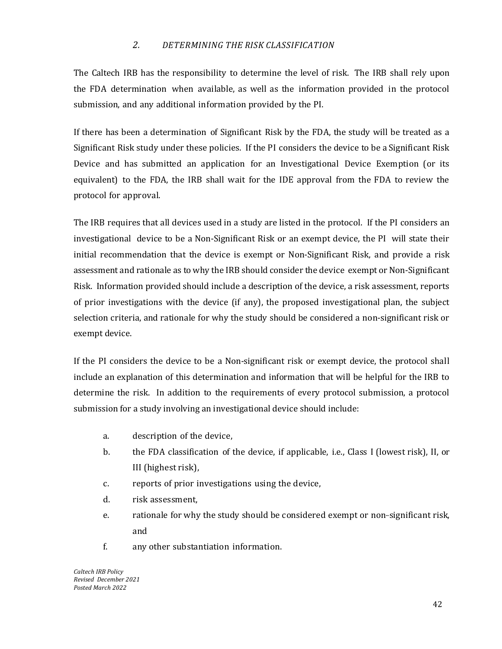### *2. DETERMINING THE RISK CLASSIFICATION*

<span id="page-42-0"></span>The Caltech IRB has the responsibility to determine the level of risk. The IRB shall rely upon the FDA determination when available, as well as the information provided in the protocol submission, and any additional information provided by the PI.

If there has been a determination of Significant Risk by the FDA, the study will be treated as a Significant Risk study under these policies. If the PI considers the device to be a Significant Risk Device and has submitted an application for an Investigational Device Exemption (or its equivalent) to the FDA, the IRB shall wait for the IDE approval from the FDA to review the protocol for approval.

The IRB requires that all devices used in a study are listed in the protocol. If the PI considers an investigational device to be a Non-Significant Risk or an exempt device, the PI will state their initial recommendation that the device is exempt or Non-Significant Risk, and provide a risk assessment and rationale as to why the IRB should consider the device exempt or Non-Significant Risk. Information provided should include a description of the device, a risk assessment, reports of prior investigations with the device (if any), the proposed investigational plan, the subject selection criteria, and rationale for why the study should be considered a non-significant risk or exempt device.

If the PI considers the device to be a Non-significant risk or exempt device, the protocol shall include an explanation of this determination and information that will be helpful for the IRB to determine the risk. In addition to the requirements of every protocol submission, a protocol submission for a study involving an investigational device should include:

- a. description of the device,
- b. the FDA classification of the device, if applicable, i.e., Class I (lowest risk), II, or III (highest risk),
- c. reports of prior investigations using the device,
- d. risk assessment,
- e. rationale for why the study should be considered exempt or non-significant risk, and
- f. any other substantiation information.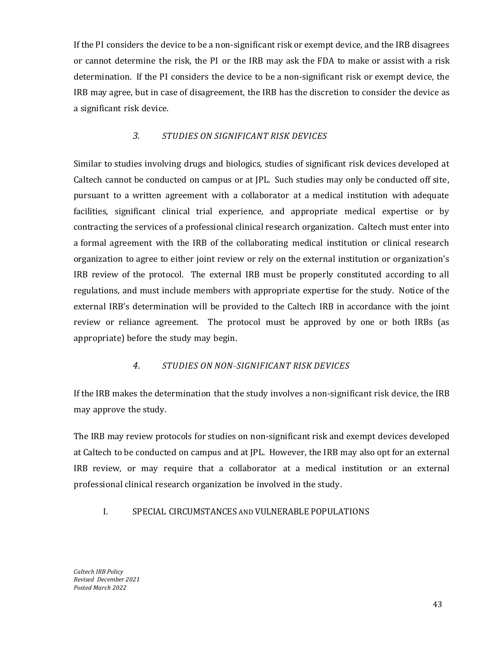If the PI considers the device to be a non-significant risk or exempt device, and the IRB disagrees or cannot determine the risk, the PI or the IRB may ask the FDA to make or assist with a risk determination. If the PI considers the device to be a non-significant risk or exempt device, the IRB may agree, but in case of disagreement, the IRB has the discretion to consider the device as a significant risk device.

### *3. STUDIES ON SIGNIFICANT RISK DEVICES*

<span id="page-43-0"></span>Similar to studies involving drugs and biologics, studies of significant risk devices developed at Caltech cannot be conducted on campus or at JPL. Such studies may only be conducted off site, pursuant to a written agreement with a collaborator at a medical institution with adequate facilities, significant clinical trial experience, and appropriate medical expertise or by contracting the services of a professional clinical research organization. Caltech must enter into a formal agreement with the IRB of the collaborating medical institution or clinical research organization to agree to either joint review or rely on the external institution or organization's IRB review of the protocol. The external IRB must be properly constituted according to all regulations, and must include members with appropriate expertise for the study. Notice of the external IRB's determination will be provided to the Caltech IRB in accordance with the joint review or reliance agreement. The protocol must be approved by one or both IRBs (as appropriate) before the study may begin.

### *4. STUDIES ON NON-- -SIGNIFICANT RISK DEVICES*

<span id="page-43-1"></span>If the IRB makes the determination that the study involves a non-significant risk device, the IRB may approve the study.

The IRB may review protocols for studies on non-significant risk and exempt devices developed at Caltech to be conducted on campus and at JPL. However, the IRB may also opt for an external IRB review, or may require that a collaborator at a medical institution or an external professional clinical research organization be involved in the study.

### <span id="page-43-2"></span>I. SPECIAL CIRCUMSTANCES AND VULNERABLE POPULATIONS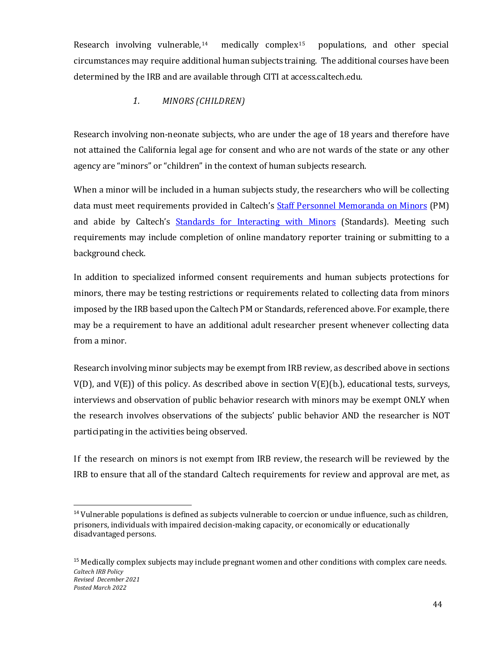Research involving vulnerable,<sup>[14](#page-44-1)</sup> medically complex<sup>[15](#page-44-2)</sup> populations, and other special circumstances may require additional human subjects training. The additional courses have been determined by the IRB and are available through CITI at access.caltech.edu.

# *1. MINORS (CHILDREN)*

<span id="page-44-0"></span>Research involving non-neonate subjects, who are under the age of 18 years and therefore have not attained the California legal age for consent and who are not wards of the state or any other agency are "minors" or "children" in the context of human subjects research.

When a minor will be included in a human subjects study, the researchers who will be collecting data must meet requirements provided in Caltech's [Staff Personnel Memoranda on Minors](https://hr.caltech.edu/documents/8-pm09-1.pdf) (PM) and abide by Caltech's [Standards for Interacting with Minors](https://ctlo.caltech.edu/documents/3773/standards_for_interacting_with_minors.pdf) (Standards). Meeting such requirements may include completion of online mandatory reporter training or submitting to a background check.

In addition to specialized informed consent requirements and human subjects protections for minors, there may be testing restrictions or requirements related to collecting data from minors imposed by the IRB based upon the Caltech PM or Standards, referenced above. For example, there may be a requirement to have an additional adult researcher present whenever collecting data from a minor.

Research involving minor subjects may be exempt from IRB review, as described above in sections V(D), and V(E)) of this policy. As described above in section V(E)(b.), educational tests, surveys, interviews and observation of public behavior research with minors may be exempt ONLY when the research involves observations of the subjects' public behavior AND the researcher is NOT participating in the activities being observed.

If the research on minors is not exempt from IRB review, the research will be reviewed by the IRB to ensure that all of the standard Caltech requirements for review and approval are met, as

<span id="page-44-1"></span> $14$  Vulnerable populations is defined as subjects vulnerable to coercion or undue influence, such as children, prisoners, individuals with impaired decision-making capacity, or economically or educationally disadvantaged persons.

<span id="page-44-2"></span>*Caltech IRB Policy Revised December 2021 Posted March 2022* <sup>15</sup> Medically complex subjects may include pregnant women and other conditions with complex care needs.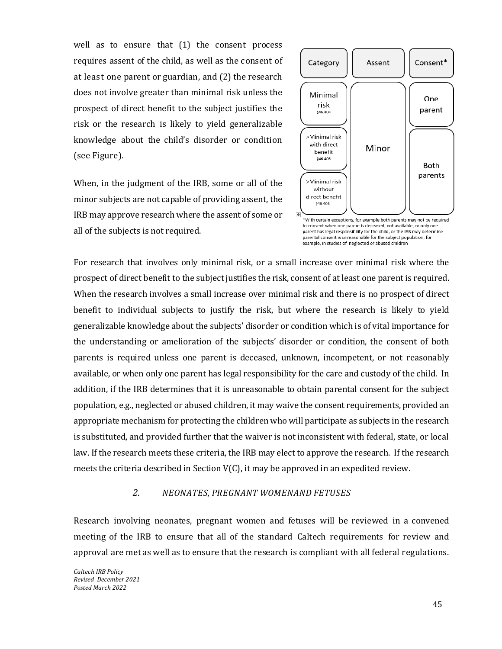well as to ensure that (1) the consent process requires assent of the child, as well as the consent of at least one parent or guardian, and (2) the research does not involve greater than minimal risk unless the prospect of direct benefit to the subject justifies the risk or the research is likely to yield generalizable knowledge about the child's disorder or condition (see Figure).

When, in the judgment of the IRB, some or all of the minor subjects are not capable of providing assent, the IRB may approve research where the assent of some or all of the subjects is not required.



\*With certain exceptions, for example both parents may not be required to consent when one parent is deceased, not available, or only one parent has legal responsibility for the child, or the IRB may determine parental consent is unreasonable for the subject population, for example, in studies of neglected or abused children

For research that involves only minimal risk, or a small increase over minimal risk where the prospect of direct benefit to the subject justifies the risk, consent of at least one parent is required. When the research involves a small increase over minimal risk and there is no prospect of direct benefit to individual subjects to justify the risk, but where the research is likely to yield generalizable knowledge about the subjects' disorder or condition which is of vital importance for the understanding or amelioration of the subjects' disorder or condition, the consent of both parents is required unless one parent is deceased, unknown, incompetent, or not reasonably available, or when only one parent has legal responsibility for the care and custody of the child. In addition, if the IRB determines that it is unreasonable to obtain parental consent for the subject population, e.g., neglected or abused children, it may waive the consent requirements, provided an appropriate mechanism for protecting the children who will participate as subjects in the research is substituted, and provided further that the waiver is not inconsistent with federal, state, or local law. If the research meets these criteria, the IRB may elect to approve the research. If the research meets the criteria described in Section V(C), it may be approved in an expedited review.

# *2. NEONATES, PREGNANT WOMENAND FETUSES*

<span id="page-45-0"></span>Research involving neonates, pregnant women and fetuses will be reviewed in a convened meeting of the IRB to ensure that all of the standard Caltech requirements for review and approval are met as well as to ensure that the research is compliant with all federal regulations.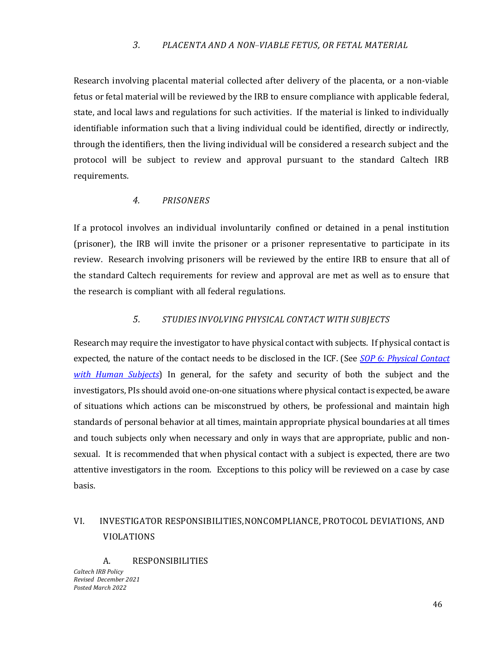### *3. PLACENTA AND A NON-- -VIABLE FETUS, OR FETAL MATERIAL*

<span id="page-46-0"></span>Research involving placental material collected after delivery of the placenta, or a non-viable fetus or fetal material will be reviewed by the IRB to ensure compliance with applicable federal, state, and local laws and regulations for such activities. If the material is linked to individually identifiable information such that a living individual could be identified, directly or indirectly, through the identifiers, then the living individual will be considered a research subject and the protocol will be subject to review and approval pursuant to the standard Caltech IRB requirements.

### *4. PRISONERS*

<span id="page-46-1"></span>If a protocol involves an individual involuntarily confined or detained in a penal institution (prisoner), the IRB will invite the prisoner or a prisoner representative to participate in its review. Research involving prisoners will be reviewed by the entire IRB to ensure that all of the standard Caltech requirements for review and approval are met as well as to ensure that the research is compliant with all federal regulations.

### *5. STUDIES INVOLVING PHYSICAL CONTACT WITH SUBJECTS*

<span id="page-46-2"></span>Research may require the investigator to have physical contact with subjects. If physical contact is expected, the nature of the contact needs to be disclosed in the ICF. (See *[SOP 6: Physical Contact](https://researchcompliance.caltech.edu/documents/18734/IRB_SOP_06_Physical_Contact_with_Human_Subjects_03-2021.pdf)  with [Human Subjects](https://researchcompliance.caltech.edu/documents/18734/IRB_SOP_06_Physical_Contact_with_Human_Subjects_03-2021.pdf)*) In general, for the safety and security of both the subject and the investigators, PIs should avoid one-on-one situations where physical contact is expected, be aware of situations which actions can be misconstrued by others, be professional and maintain high standards of personal behavior at all times, maintain appropriate physical boundaries at all times and touch subjects only when necessary and only in ways that are appropriate, public and nonsexual. It is recommended that when physical contact with a subject is expected, there are two attentive investigators in the room. Exceptions to this policy will be reviewed on a case by case basis.

# <span id="page-46-3"></span>VI. INVESTIGATOR RESPONSIBILITIES,NONCOMPLIANCE, PROTOCOL DEVIATIONS, AND VIOLATIONS

<span id="page-46-4"></span>A. RESPONSIBILITIES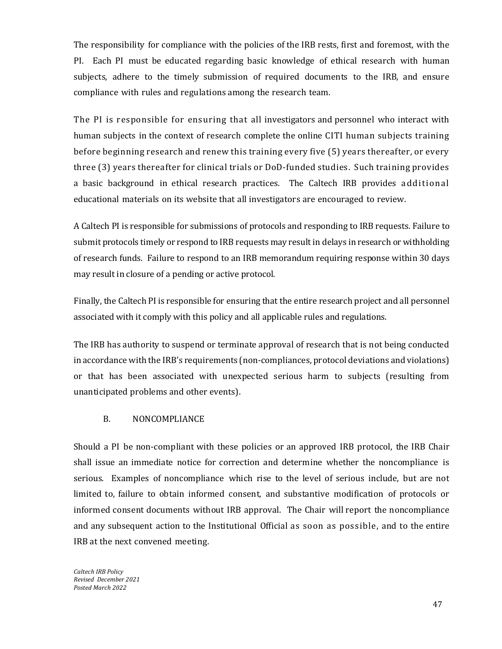The responsibility for compliance with the policies of the IRB rests, first and foremost, with the PI. Each PI must be educated regarding basic knowledge of ethical research with human subjects, adhere to the timely submission of required documents to the IRB, and ensure compliance with rules and regulations among the research team.

The PI is responsible for ensuring that all investigators and personnel who interact with human subjects in the context of research complete the online CITI human subjects training before beginning research and renew this training every five (5) years thereafter, or every three (3) years thereafter for clinical trials or DoD-funded studies. Such training provides a basic background in ethical research practices. The Caltech IRB provides additional educational materials on its website that all investigators are encouraged to review.

A Caltech PI is responsible for submissions of protocols and responding to IRB requests. Failure to submit protocols timely or respond to IRB requests may result in delays in research or withholding of research funds. Failure to respond to an IRB memorandum requiring response within 30 days may result in closure of a pending or active protocol.

Finally, the Caltech PI is responsible for ensuring that the entire research project and all personnel associated with it comply with this policy and all applicable rules and regulations.

The IRB has authority to suspend or terminate approval of research that is not being conducted in accordance with the IRB's requirements (non-compliances, protocol deviations and violations) or that has been associated with unexpected serious harm to subjects (resulting from unanticipated problems and other events).

### B. NONCOMPLIANCE

<span id="page-47-0"></span>Should a PI be non-compliant with these policies or an approved IRB protocol, the IRB Chair shall issue an immediate notice for correction and determine whether the noncompliance is serious. Examples of noncompliance which rise to the level of serious include, but are not limited to, failure to obtain informed consent, and substantive modification of protocols or informed consent documents without IRB approval. The Chair will report the noncompliance and any subsequent action to the Institutional Official as soon as possible, and to the entire IRB at the next convened meeting.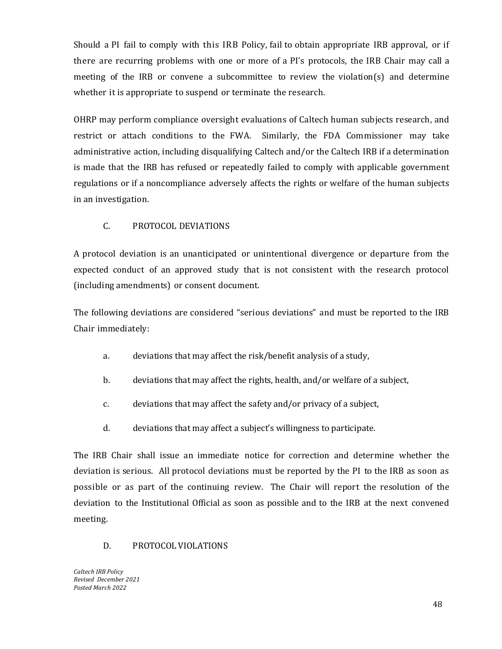Should a PI fail to comply with this IRB Policy, fail to obtain appropriate IRB approval, or if there are recurring problems with one or more of a PI's protocols, the IRB Chair may call a meeting of the IRB or convene a subcommittee to review the violation(s) and determine whether it is appropriate to suspend or terminate the research.

OHRP may perform compliance oversight evaluations of Caltech human subjects research, and restrict or attach conditions to the FWA. Similarly, the FDA Commissioner may take administrative action, including disqualifying Caltech and/or the Caltech IRB if a determination is made that the IRB has refused or repeatedly failed to comply with applicable government regulations or if a noncompliance adversely affects the rights or welfare of the human subjects in an investigation.

### C. PROTOCOL DEVIATIONS

<span id="page-48-0"></span>A protocol deviation is an unanticipated or unintentional divergence or departure from the expected conduct of an approved study that is not consistent with the research protocol (including amendments) or consent document.

The following deviations are considered "serious deviations" and must be reported to the IRB Chair immediately:

- a. deviations that may affect the risk/benefit analysis of a study,
- b. deviations that may affect the rights, health, and/or welfare of a subject,
- c. deviations that may affect the safety and/or privacy of a subject,
- d. deviations that may affect a subject's willingness to participate.

The IRB Chair shall issue an immediate notice for correction and determine whether the deviation is serious. All protocol deviations must be reported by the PI to the IRB as soon as possible or as part of the continuing review. The Chair will report the resolution of the deviation to the Institutional Official as soon as possible and to the IRB at the next convened meeting.

### <span id="page-48-1"></span>D. PROTOCOL VIOLATIONS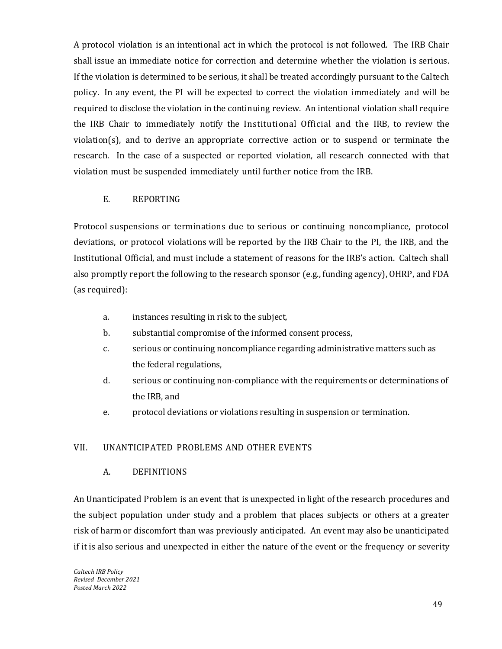A protocol violation is an intentional act in which the protocol is not followed. The IRB Chair shall issue an immediate notice for correction and determine whether the violation is serious. If the violation is determined to be serious, it shall be treated accordingly pursuant to the Caltech policy. In any event, the PI will be expected to correct the violation immediately and will be required to disclose the violation in the continuing review. An intentional violation shall require the IRB Chair to immediately notify the Institutional Official and the IRB, to review the violation(s), and to derive an appropriate corrective action or to suspend or terminate the research. In the case of a suspected or reported violation, all research connected with that violation must be suspended immediately until further notice from the IRB.

### E. REPORTING

<span id="page-49-0"></span>Protocol suspensions or terminations due to serious or continuing noncompliance, protocol deviations, or protocol violations will be reported by the IRB Chair to the PI, the IRB, and the Institutional Official, and must include a statement of reasons for the IRB's action. Caltech shall also promptly report the following to the research sponsor (e.g., funding agency), OHRP, and FDA (as required):

- a. instances resulting in risk to the subject,
- b. substantial compromise of the informed consent process,
- c. serious or continuing noncompliance regarding administrative matters such as the federal regulations,
- d. serious or continuing non-compliance with the requirements or determinations of the IRB, and
- e. protocol deviations or violations resulting in suspension or termination.

### <span id="page-49-2"></span><span id="page-49-1"></span>VII. UNANTICIPATED PROBLEMS AND OTHER EVENTS

### A. DEFINITIONS

An Unanticipated Problem is an event that is unexpected in light of the research procedures and the subject population under study and a problem that places subjects or others at a greater risk of harm or discomfort than was previously anticipated. An event may also be unanticipated if it is also serious and unexpected in either the nature of the event or the frequency or severity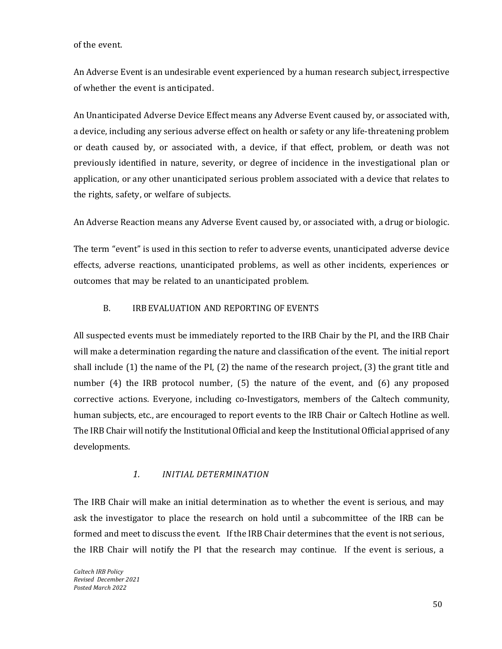of the event.

An Adverse Event is an undesirable event experienced by a human research subject, irrespective of whether the event is anticipated.

An Unanticipated Adverse Device Effect means any Adverse Event caused by, or associated with, a device, including any serious adverse effect on health or safety or any life-threatening problem or death caused by, or associated with, a device, if that effect, problem, or death was not previously identified in nature, severity, or degree of incidence in the investigational plan or application, or any other unanticipated serious problem associated with a device that relates to the rights, safety, or welfare of subjects.

An Adverse Reaction means any Adverse Event caused by, or associated with, a drug or biologic.

The term "event" is used in this section to refer to adverse events, unanticipated adverse device effects, adverse reactions, unanticipated problems, as well as other incidents, experiences or outcomes that may be related to an unanticipated problem.

### B. IRBEVALUATION AND REPORTING OF EVENTS

<span id="page-50-0"></span>All suspected events must be immediately reported to the IRB Chair by the PI, and the IRB Chair will make a determination regarding the nature and classification of the event. The initial report shall include (1) the name of the PI, (2) the name of the research project, (3) the grant title and number (4) the IRB protocol number, (5) the nature of the event, and (6) any proposed corrective actions. Everyone, including co-Investigators, members of the Caltech community, human subjects, etc., are encouraged to report events to the IRB Chair or Caltech Hotline as well. The IRB Chair will notify the Institutional Official and keep the Institutional Official apprised of any developments.

# *1. INITIAL DETERMINATION*

<span id="page-50-1"></span>The IRB Chair will make an initial determination as to whether the event is serious, and may ask the investigator to place the research on hold until a subcommittee of the IRB can be formed and meet to discuss the event. If the IRB Chair determines that the event is not serious, the IRB Chair will notify the PI that the research may continue. If the event is serious, a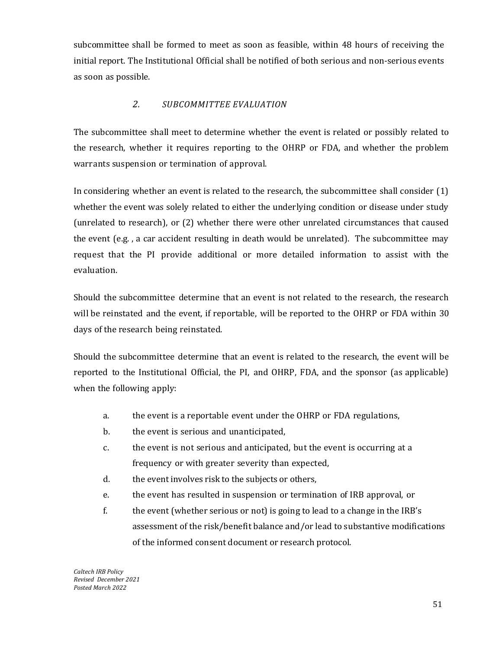subcommittee shall be formed to meet as soon as feasible, within 48 hours of receiving the initial report. The Institutional Official shall be notified of both serious and non-serious events as soon as possible.

# *2. SUBCOMMITTEE EVALUATION*

<span id="page-51-0"></span>The subcommittee shall meet to determine whether the event is related or possibly related to the research, whether it requires reporting to the OHRP or FDA, and whether the problem warrants suspension or termination of approval.

In considering whether an event is related to the research, the subcommittee shall consider (1) whether the event was solely related to either the underlying condition or disease under study (unrelated to research), or (2) whether there were other unrelated circumstances that caused the event (e.g. , a car accident resulting in death would be unrelated). The subcommittee may request that the PI provide additional or more detailed information to assist with the evaluation.

Should the subcommittee determine that an event is not related to the research, the research will be reinstated and the event, if reportable, will be reported to the OHRP or FDA within 30 days of the research being reinstated.

Should the subcommittee determine that an event is related to the research, the event will be reported to the Institutional Official, the PI, and OHRP, FDA, and the sponsor (as applicable) when the following apply:

- a. the event is a reportable event under the OHRP or FDA regulations,
- b. the event is serious and unanticipated,
- c. the event is not serious and anticipated, but the event is occurring at a frequency or with greater severity than expected,
- d. the event involves risk to the subjects or others,
- e. the event has resulted in suspension or termination of IRB approval, or
- f. the event (whether serious or not) is going to lead to a change in the IRB's assessment of the risk/benefit balance and/or lead to substantive modifications of the informed consent document or research protocol.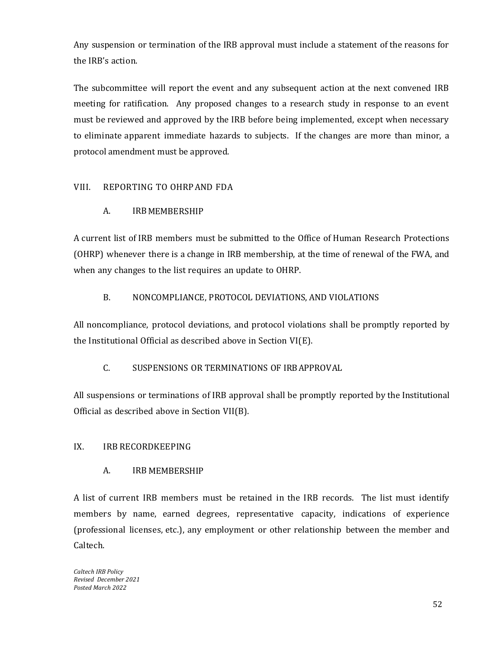Any suspension or termination of the IRB approval must include a statement of the reasons for the IRB's action.

The subcommittee will report the event and any subsequent action at the next convened IRB meeting for ratification. Any proposed changes to a research study in response to an event must be reviewed and approved by the IRB before being implemented, except when necessary to eliminate apparent immediate hazards to subjects. If the changes are more than minor, a protocol amendment must be approved.

# <span id="page-52-1"></span><span id="page-52-0"></span>VIII. REPORTING TO OHRP AND FDA

# A. IRBMEMBERSHIP

A current list of IRB members must be submitted to the Office of Human Research Protections (OHRP) whenever there is a change in IRB membership, at the time of renewal of the FWA, and when any changes to the list requires an update to OHRP.

# B. NONCOMPLIANCE, PROTOCOL DEVIATIONS, AND VIOLATIONS

<span id="page-52-2"></span>All noncompliance, protocol deviations, and protocol violations shall be promptly reported by the Institutional Official as described above in Section VI(E).

### C. SUSPENSIONS OR TERMINATIONS OF IRBAPPROVAL

<span id="page-52-3"></span>All suspensions or terminations of IRB approval shall be promptly reported by the Institutional Official as described above in Section VII(B).

# <span id="page-52-5"></span><span id="page-52-4"></span>IX. IRB RECORDKEEPING

### A. IRB MEMBERSHIP

A list of current IRB members must be retained in the IRB records. The list must identify members by name, earned degrees, representative capacity, indications of experience (professional licenses, etc.), any employment or other relationship between the member and Caltech.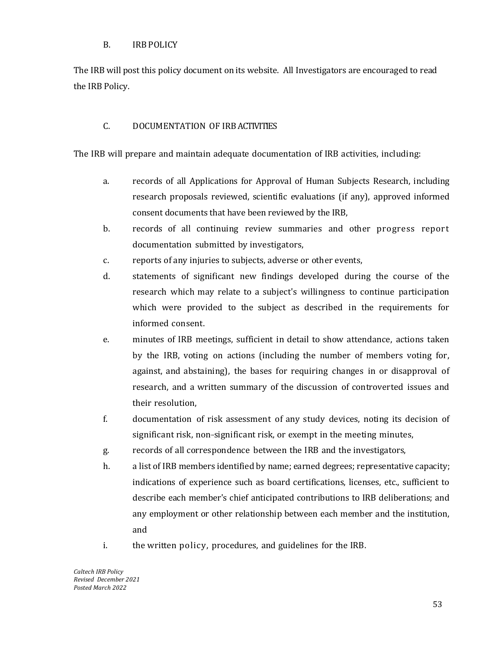### B. IRB POLICY

<span id="page-53-0"></span>The IRB will post this policy document on its website. All Investigators are encouraged to read the IRB Policy.

# C. DOCUMENTATION OF IRB ACTIVITIES

<span id="page-53-1"></span>The IRB will prepare and maintain adequate documentation of IRB activities, including:

- a. records of all Applications for Approval of Human Subjects Research, including research proposals reviewed, scientific evaluations (if any), approved informed consent documents that have been reviewed by the IRB,
- b. records of all continuing review summaries and other progress report documentation submitted by investigators,
- c. reports of any injuries to subjects, adverse or other events,
- d. statements of significant new findings developed during the course of the research which may relate to a subject's willingness to continue participation which were provided to the subject as described in the requirements for informed consent.
- e. minutes of IRB meetings, sufficient in detail to show attendance, actions taken by the IRB, voting on actions (including the number of members voting for, against, and abstaining), the bases for requiring changes in or disapproval of research, and a written summary of the discussion of controverted issues and their resolution,
- f. documentation of risk assessment of any study devices, noting its decision of significant risk, non-significant risk, or exempt in the meeting minutes,
- g. records of all correspondence between the IRB and the investigators,
- h. a list of IRB members identified by name; earned degrees; representative capacity; indications of experience such as board certifications, licenses, etc., sufficient to describe each member's chief anticipated contributions to IRB deliberations; and any employment or other relationship between each member and the institution, and
- i. the written policy, procedures, and guidelines for the IRB.